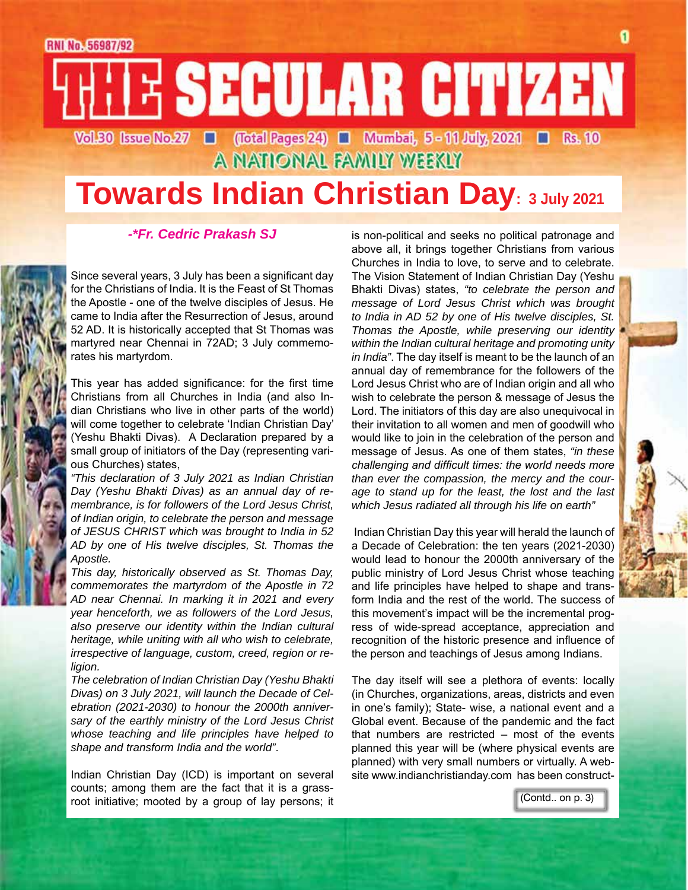# **RNI No. 56987/92** E SECULAR CITIZEN Vol.30 Issue No.27 | (Total Pages 24) | Mumbai, 5 - 11 July, 2021 | Rs. 10

A NATIONAL FAMILY WEEKLY

# **Towards Indian Christian Day: 3 July 2021**

#### *-\*Fr. Cedric Prakash SJ*

Since several years, 3 July has been a significant day for the Christians of India. It is the Feast of St Thomas the Apostle - one of the twelve disciples of Jesus. He came to India after the Resurrection of Jesus, around 52 AD. It is historically accepted that St Thomas was martyred near Chennai in 72AD; 3 July commemorates his martyrdom.

This year has added significance: for the first time Christians from all Churches in India (and also Indian Christians who live in other parts of the world) will come together to celebrate 'Indian Christian Day' (Yeshu Bhakti Divas). A Declaration prepared by a small group of initiators of the Day (representing various Churches) states,

*"This declaration of 3 July 2021 as Indian Christian Day (Yeshu Bhakti Divas) as an annual day of remembrance, is for followers of the Lord Jesus Christ, of Indian origin, to celebrate the person and message of JESUS CHRIST which was brought to India in 52 AD by one of His twelve disciples, St. Thomas the Apostle.*

*This day, historically observed as St. Thomas Day, commemorates the martyrdom of the Apostle in 72 AD near Chennai. In marking it in 2021 and every year henceforth, we as followers of the Lord Jesus, also preserve our identity within the Indian cultural heritage, while uniting with all who wish to celebrate, irrespective of language, custom, creed, region or religion.*

*The celebration of Indian Christian Day (Yeshu Bhakti Divas) on 3 July 2021, will launch the Decade of Celebration (2021-2030) to honour the 2000th anniversary of the earthly ministry of the Lord Jesus Christ whose teaching and life principles have helped to shape and transform India and the world"*.

Indian Christian Day (ICD) is important on several counts; among them are the fact that it is a grassroot initiative; mooted by a group of lay persons; it is non-political and seeks no political patronage and above all, it brings together Christians from various Churches in India to love, to serve and to celebrate. The Vision Statement of Indian Christian Day (Yeshu Bhakti Divas) states, *"to celebrate the person and message of Lord Jesus Christ which was brought to India in AD 52 by one of His twelve disciples, St. Thomas the Apostle, while preserving our identity within the Indian cultural heritage and promoting unity in India"*. The day itself is meant to be the launch of an annual day of remembrance for the followers of the Lord Jesus Christ who are of Indian origin and all who wish to celebrate the person & message of Jesus the Lord. The initiators of this day are also unequivocal in their invitation to all women and men of goodwill who would like to join in the celebration of the person and message of Jesus. As one of them states, *"in these challenging and difficult times: the world needs more than ever the compassion, the mercy and the courage to stand up for the least, the lost and the last which Jesus radiated all through his life on earth"* 

 Indian Christian Day this year will herald the launch of a Decade of Celebration: the ten years (2021-2030) would lead to honour the 2000th anniversary of the public ministry of Lord Jesus Christ whose teaching and life principles have helped to shape and transform India and the rest of the world. The success of this movement's impact will be the incremental progress of wide-spread acceptance, appreciation and recognition of the historic presence and influence of the person and teachings of Jesus among Indians.

The day itself will see a plethora of events: locally (in Churches, organizations, areas, districts and even in one's family); State- wise, a national event and a Global event. Because of the pandemic and the fact that numbers are restricted – most of the events planned this year will be (where physical events are planned) with very small numbers or virtually. A website www.indianchristianday.com has been construct-

(Contd.. on p. 3)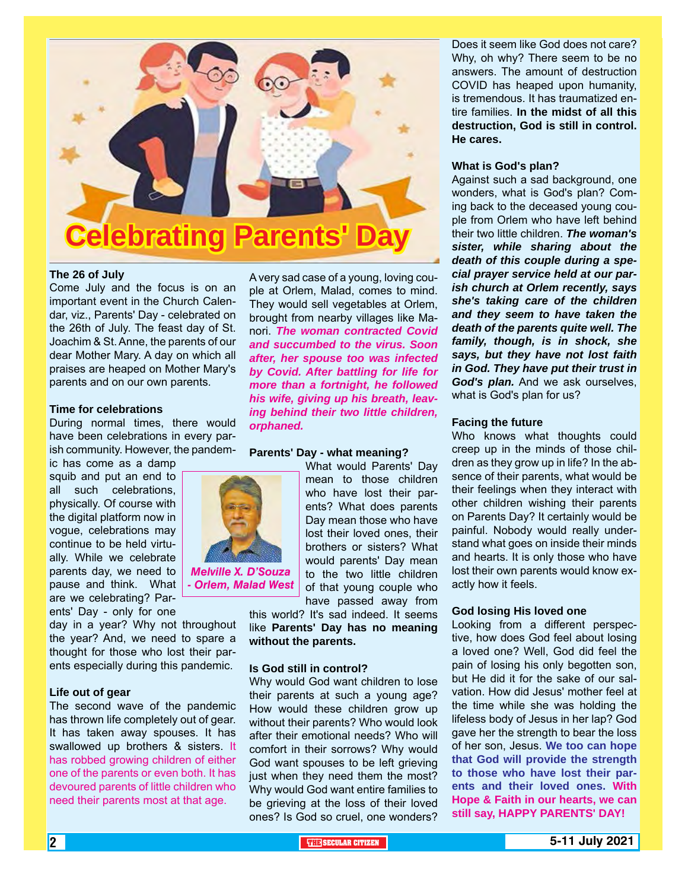

*Melville X. D'Souza - Orlem, Malad West*

#### **The 26 of July**

Come July and the focus is on an important event in the Church Calendar, viz., Parents' Day - celebrated on the 26th of July. The feast day of St. Joachim & St. Anne, the parents of our dear Mother Mary. A day on which all praises are heaped on Mother Mary's parents and on our own parents.

#### **Time for celebrations**

During normal times, there would have been celebrations in every parish community. However, the pandem-

ic has come as a damp squib and put an end to all such celebrations, physically. Of course with the digital platform now in vogue, celebrations may continue to be held virtually. While we celebrate parents day, we need to pause and think. What are we celebrating? Par-

ents' Day - only for one day in a year? Why not throughout the year? And, we need to spare a thought for those who lost their parents especially during this pandemic.

#### **Life out of gear**

The second wave of the pandemic has thrown life completely out of gear. It has taken away spouses. It has swallowed up brothers & sisters. It has robbed growing children of either one of the parents or even both. It has devoured parents of little children who need their parents most at that age.

A very sad case of a young, loving couple at Orlem, Malad, comes to mind. They would sell vegetables at Orlem, brought from nearby villages like Manori. *The woman contracted Covid and succumbed to the virus. Soon after, her spouse too was infected by Covid. After battling for life for more than a fortnight, he followed his wife, giving up his breath, leaving behind their two little children, orphaned.*

#### **Parents' Day - what meaning?**

What would Parents' Day mean to those children who have lost their parents? What does parents Day mean those who have lost their loved ones, their brothers or sisters? What would parents' Day mean to the two little children of that young couple who have passed away from

this world? It's sad indeed. It seems like **Parents' Day has no meaning without the parents.**

#### **Is God still in control?**

Why would God want children to lose their parents at such a young age? How would these children grow up without their parents? Who would look after their emotional needs? Who will comfort in their sorrows? Why would God want spouses to be left grieving just when they need them the most? Why would God want entire families to be grieving at the loss of their loved ones? Is God so cruel, one wonders?

Does it seem like God does not care? Why, oh why? There seem to be no answers. The amount of destruction COVID has heaped upon humanity, is tremendous. It has traumatized entire families. **In the midst of all this destruction, God is still in control. He cares.**

#### **What is God's plan?**

Against such a sad background, one wonders, what is God's plan? Coming back to the deceased young couple from Orlem who have left behind their two little children. *The woman's sister, while sharing about the death of this couple during a special prayer service held at our parish church at Orlem recently, says she's taking care of the children and they seem to have taken the death of the parents quite well. The family, though, is in shock, she says, but they have not lost faith in God. They have put their trust in God's plan.* And we ask ourselves, what is God's plan for us?

#### **Facing the future**

Who knows what thoughts could creep up in the minds of those children as they grow up in life? In the absence of their parents, what would be their feelings when they interact with other children wishing their parents on Parents Day? It certainly would be painful. Nobody would really understand what goes on inside their minds and hearts. It is only those who have lost their own parents would know exactly how it feels.

#### **God losing His loved one**

Looking from a different perspective, how does God feel about losing a loved one? Well, God did feel the pain of losing his only begotten son, but He did it for the sake of our salvation. How did Jesus' mother feel at the time while she was holding the lifeless body of Jesus in her lap? God gave her the strength to bear the loss of her son, Jesus. **We too can hope that God will provide the strength to those who have lost their parents and their loved ones. With Hope & Faith in our hearts, we can still say, HAPPY PARENTS' DAY!**

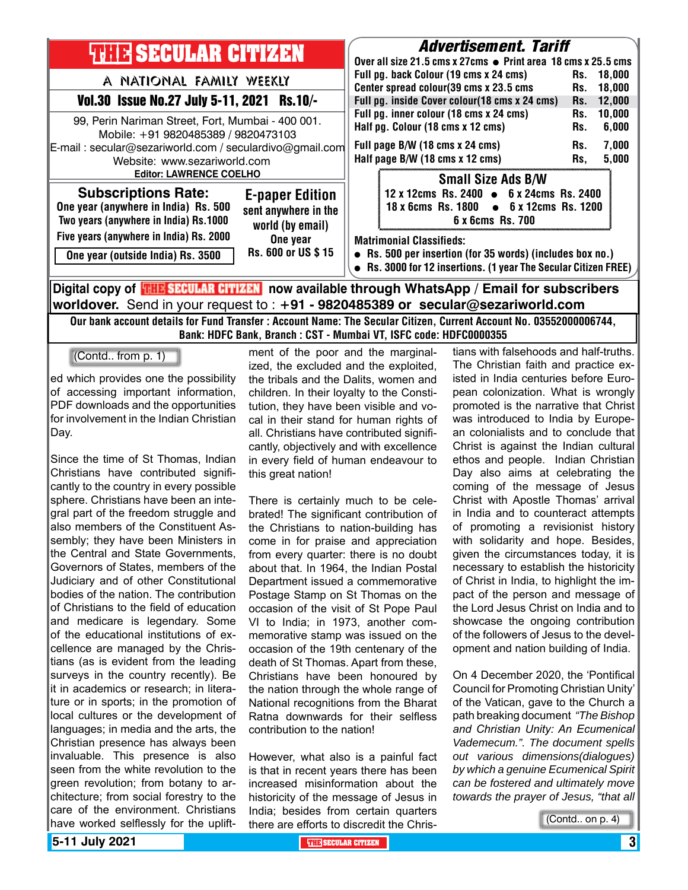| <b>THIR SECULAR CITIZEN</b>                                                                                                                                                                                           |                                                                    | <b>Advertisement. Tariff</b><br>Over all size 21.5 cms x 27cms ● Print area 18 cms x 25.5 cms                                                                 |                                                                                                         |            |                  |  |  |
|-----------------------------------------------------------------------------------------------------------------------------------------------------------------------------------------------------------------------|--------------------------------------------------------------------|---------------------------------------------------------------------------------------------------------------------------------------------------------------|---------------------------------------------------------------------------------------------------------|------------|------------------|--|--|
| A NATIONAL FAMILY WEEKLY                                                                                                                                                                                              |                                                                    |                                                                                                                                                               | Full pg. back Colour (19 cms x 24 cms)<br>Center spread colour(39 cms x 23.5 cms                        | Rs.<br>Rs. | 18.000<br>18.000 |  |  |
| Vol.30 Issue No.27 July 5-11, 2021 Rs.10/-                                                                                                                                                                            |                                                                    |                                                                                                                                                               | Full pg. inside Cover colour(18 cms x 24 cms)                                                           | Rs.        | 12,000           |  |  |
| 99, Perin Nariman Street, Fort, Mumbai - 400 001.<br>Mobile: +91 9820485389 / 9820473103<br>E-mail: secular@sezariworld.com / seculardivo@gmail.com<br>Website: www.sezariworld.com<br><b>Editor: LAWRENCE COELHO</b> |                                                                    | Full pg. inner colour (18 cms x 24 cms)<br>Half pg. Colour (18 cms x 12 cms)                                                                                  |                                                                                                         | Rs.<br>Rs. | 10,000<br>6,000  |  |  |
|                                                                                                                                                                                                                       |                                                                    | Full page B/W (18 cms x 24 cms)<br>Half page B/W (18 cms x 12 cms)                                                                                            |                                                                                                         | Rs.<br>Rs, | 7,000<br>5,000   |  |  |
|                                                                                                                                                                                                                       |                                                                    |                                                                                                                                                               | <b>Small Size Ads B/W</b>                                                                               |            |                  |  |  |
| <b>Subscriptions Rate:</b><br>One year (anywhere in India) Rs. 500<br>Two years (anywhere in India) Rs.1000                                                                                                           | <b>E-paper Edition</b><br>sent anywhere in the<br>world (by email) |                                                                                                                                                               | 12 x 12cms Rs. 2400 • 6 x 24cms Rs. 2400<br>18 x 6cms Rs. 1800 • 6 x 12cms Rs. 1200<br>6 x 6cms Rs. 700 |            |                  |  |  |
| Five years (anywhere in India) Rs. 2000<br>One year (outside India) Rs. 3500                                                                                                                                          | One year<br>Rs. 600 or US \$15                                     | <b>Matrimonial Classifieds:</b><br>• Rs. 500 per insertion (for 35 words) (includes box no.)<br>Rs. 3000 for 12 insertions. (1 year The Secular Citizen FREE) |                                                                                                         |            |                  |  |  |
| Digital copy of <mark>珊瞎SECULAR CITIZEN</mark> now available through WhatsApp / Email for subscribers                                                                                                                 |                                                                    |                                                                                                                                                               |                                                                                                         |            |                  |  |  |

**worldover.** Send in your request to : **+91 - 9820485389 or secular@sezariworld.com** Our bank account details for Fund Transfer : Account Name: The Secular Citizen, Current Account No. 03552000006744,

Bank: HDFC Bank, Branch : CST - Mumbai VT, ISFC code: HDFC0000355

(Contd.. from p. 1)

ed which provides one the possibility of accessing important information, PDF downloads and the opportunities for involvement in the Indian Christian Day.

Since the time of St Thomas, Indian Christians have contributed significantly to the country in every possible sphere. Christians have been an integral part of the freedom struggle and also members of the Constituent Assembly; they have been Ministers in the Central and State Governments, Governors of States, members of the Judiciary and of other Constitutional bodies of the nation. The contribution of Christians to the field of education and medicare is legendary. Some of the educational institutions of excellence are managed by the Christians (as is evident from the leading surveys in the country recently). Be it in academics or research; in literature or in sports; in the promotion of local cultures or the development of languages; in media and the arts, the Christian presence has always been invaluable. This presence is also seen from the white revolution to the green revolution; from botany to architecture; from social forestry to the care of the environment. Christians have worked selflessly for the uplift-

ment of the poor and the marginalized, the excluded and the exploited, the tribals and the Dalits, women and children. In their loyalty to the Constitution, they have been visible and vocal in their stand for human rights of all. Christians have contributed significantly, objectively and with excellence in every field of human endeavour to this great nation!

There is certainly much to be celebrated! The significant contribution of the Christians to nation-building has come in for praise and appreciation from every quarter: there is no doubt about that. In 1964, the Indian Postal Department issued a commemorative Postage Stamp on St Thomas on the occasion of the visit of St Pope Paul VI to India; in 1973, another commemorative stamp was issued on the occasion of the 19th centenary of the death of St Thomas. Apart from these, Christians have been honoured by the nation through the whole range of National recognitions from the Bharat Ratna downwards for their selfless contribution to the nation!

However, what also is a painful fact is that in recent years there has been increased misinformation about the historicity of the message of Jesus in India; besides from certain quarters there are efforts to discredit the Christians with falsehoods and half-truths. The Christian faith and practice existed in India centuries before European colonization. What is wrongly promoted is the narrative that Christ was introduced to India by European colonialists and to conclude that Christ is against the Indian cultural ethos and people. Indian Christian Day also aims at celebrating the coming of the message of Jesus Christ with Apostle Thomas' arrival in India and to counteract attempts of promoting a revisionist history with solidarity and hope. Besides, given the circumstances today, it is necessary to establish the historicity of Christ in India, to highlight the impact of the person and message of the Lord Jesus Christ on India and to showcase the ongoing contribution of the followers of Jesus to the development and nation building of India.

On 4 December 2020, the 'Pontifical Council for Promoting Christian Unity' of the Vatican, gave to the Church a path breaking document *"The Bishop and Christian Unity: An Ecumenical Vademecum.". The document spells out various dimensions(dialogues) by which a genuine Ecumenical Spirit can be fostered and ultimately move towards the prayer of Jesus, "that all* 

(Contd.. on p. 4)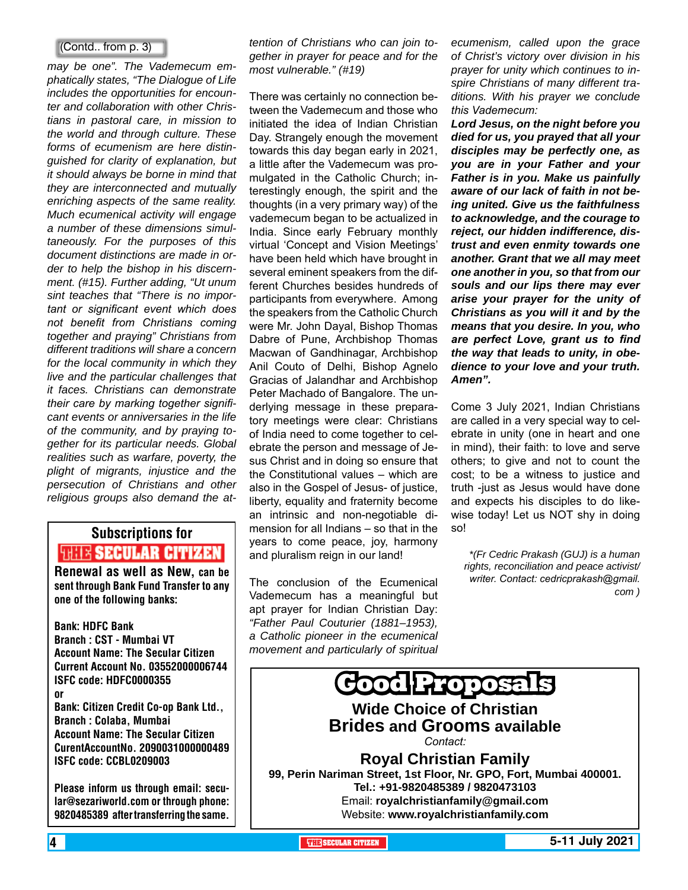#### (Contd.. from p. 3)

*may be one". The Vademecum emphatically states, "The Dialogue of Life includes the opportunities for encounter and collaboration with other Christians in pastoral care, in mission to the world and through culture. These forms of ecumenism are here distinguished for clarity of explanation, but it should always be borne in mind that they are interconnected and mutually enriching aspects of the same reality. Much ecumenical activity will engage a number of these dimensions simultaneously. For the purposes of this document distinctions are made in order to help the bishop in his discernment. (#15). Further adding, "Ut unum sint teaches that "There is no important or significant event which does not benefit from Christians coming together and praying" Christians from different traditions will share a concern for the local community in which they live and the particular challenges that it faces. Christians can demonstrate their care by marking together significant events or anniversaries in the life of the community, and by praying together for its particular needs. Global realities such as warfare, poverty, the plight of migrants, injustice and the persecution of Christians and other religious groups also demand the at-*

# Subscriptions for **THIS SECULAR CITIZEN**<br>Renewal as well as New, can be

sent through Bank Fund Transfer to any one of the following banks:

Bank: HDFC Bank Branch : CST - Mumbai VT Account Name: The Secular Citizen Current Account No. 03552000006744 ISFC code: HDFC0000355 or Bank: Citizen Credit Co-op Bank Ltd., Branch : Colaba, Mumbai Account Name: The Secular Citizen CurentAccountNo. 2090031000000489 ISFC code: CCBL0209003

Please inform us through email: secular@sezariworld.com or through phone: 9820485389 after transferring the same.

*tention of Christians who can join together in prayer for peace and for the most vulnerable." (#19)*

There was certainly no connection between the Vademecum and those who initiated the idea of Indian Christian Day. Strangely enough the movement towards this day began early in 2021, a little after the Vademecum was promulgated in the Catholic Church; interestingly enough, the spirit and the thoughts (in a very primary way) of the vademecum began to be actualized in India. Since early February monthly virtual 'Concept and Vision Meetings' have been held which have brought in several eminent speakers from the different Churches besides hundreds of participants from everywhere. Among the speakers from the Catholic Church were Mr. John Dayal, Bishop Thomas Dabre of Pune, Archbishop Thomas Macwan of Gandhinagar, Archbishop Anil Couto of Delhi, Bishop Agnelo Gracias of Jalandhar and Archbishop Peter Machado of Bangalore. The underlying message in these preparatory meetings were clear: Christians of India need to come together to celebrate the person and message of Jesus Christ and in doing so ensure that the Constitutional values – which are also in the Gospel of Jesus- of justice, liberty, equality and fraternity become an intrinsic and non-negotiable dimension for all Indians – so that in the years to come peace, joy, harmony and pluralism reign in our land!

The conclusion of the Ecumenical Vademecum has a meaningful but apt prayer for Indian Christian Day: *"Father Paul Couturier (1881–1953), a Catholic pioneer in the ecumenical movement and particularly of spiritual* 

*ecumenism, called upon the grace of Christ's victory over division in his prayer for unity which continues to inspire Christians of many different traditions. With his prayer we conclude this Vademecum:* 

*Lord Jesus, on the night before you died for us, you prayed that all your disciples may be perfectly one, as you are in your Father and your Father is in you. Make us painfully aware of our lack of faith in not being united. Give us the faithfulness to acknowledge, and the courage to reject, our hidden indifference, distrust and even enmity towards one another. Grant that we all may meet one another in you, so that from our souls and our lips there may ever arise your prayer for the unity of Christians as you will it and by the means that you desire. In you, who are perfect Love, grant us to find the way that leads to unity, in obedience to your love and your truth. Amen".*

Come 3 July 2021, Indian Christians are called in a very special way to celebrate in unity (one in heart and one in mind), their faith: to love and serve others; to give and not to count the cost; to be a witness to justice and truth -just as Jesus would have done and expects his disciples to do likewise today! Let us NOT shy in doing so!

*\*(Fr Cedric Prakash (GUJ) is a human rights, reconciliation and peace activist/ writer. Contact: cedricprakash@gmail. com )*

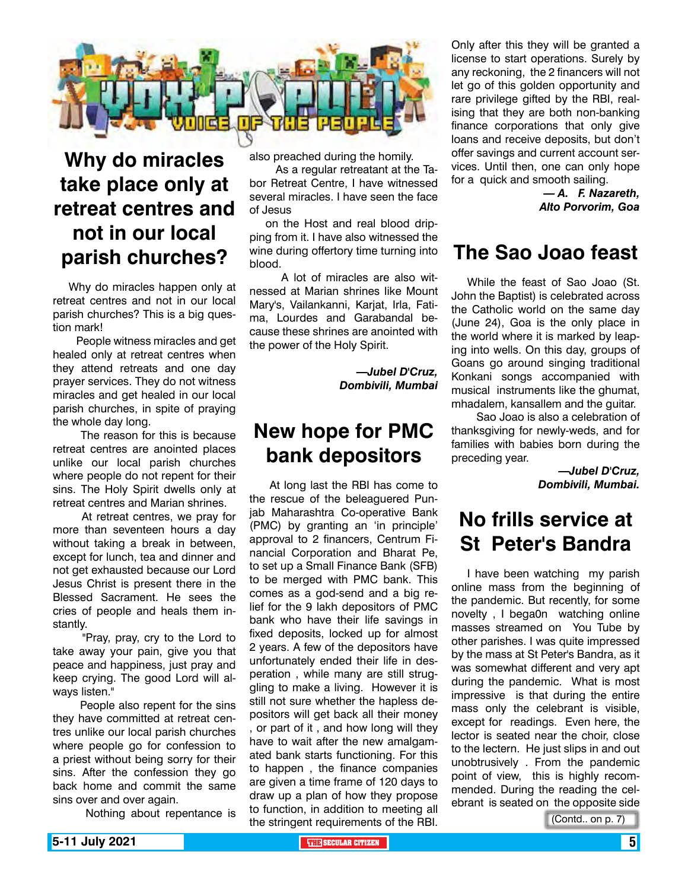

## **Why do miracles take place only at retreat centres and not in our local parish churches?**

Why do miracles happen only at retreat centres and not in our local parish churches? This is a big question mark!

 People witness miracles and get healed only at retreat centres when they attend retreats and one day prayer services. They do not witness miracles and get healed in our local parish churches, in spite of praying the whole day long.

 The reason for this is because retreat centres are anointed places unlike our local parish churches where people do not repent for their sins. The Holy Spirit dwells only at retreat centres and Marian shrines.

 At retreat centres, we pray for more than seventeen hours a day without taking a break in between, except for lunch, tea and dinner and not get exhausted because our Lord Jesus Christ is present there in the Blessed Sacrament. He sees the cries of people and heals them instantly.

 "Pray, pray, cry to the Lord to take away your pain, give you that peace and happiness, just pray and keep crying. The good Lord will always listen."

 People also repent for the sins they have committed at retreat centres unlike our local parish churches where people go for confession to a priest without being sorry for their sins. After the confession they go back home and commit the same sins over and over again.

Nothing about repentance is

also preached during the homily.

 As a regular retreatant at the Tabor Retreat Centre, I have witnessed several miracles. I have seen the face of Jesus

on the Host and real blood dripping from it. I have also witnessed the wine during offertory time turning into blood.

 A lot of miracles are also witnessed at Marian shrines like Mount Mary's, Vailankanni, Karjat, Irla, Fatima, Lourdes and Garabandal because these shrines are anointed with the power of the Holy Spirit.

> *—Jubel D'Cruz, Dombivili, Mumbai*

## **New hope for PMC bank depositors**

 At long last the RBI has come to the rescue of the beleaguered Punjab Maharashtra Co-operative Bank (PMC) by granting an 'in principle' approval to 2 financers, Centrum Financial Corporation and Bharat Pe, to set up a Small Finance Bank (SFB) to be merged with PMC bank. This comes as a god-send and a big relief for the 9 lakh depositors of PMC bank who have their life savings in fixed deposits, locked up for almost 2 years. A few of the depositors have unfortunately ended their life in desperation , while many are still struggling to make a living. However it is still not sure whether the hapless depositors will get back all their money , or part of it , and how long will they have to wait after the new amalgamated bank starts functioning. For this to happen , the finance companies are given a time frame of 120 days to draw up a plan of how they propose to function, in addition to meeting all the stringent requirements of the RBI.

Only after this they will be granted a license to start operations. Surely by any reckoning, the 2 financers will not let go of this golden opportunity and rare privilege gifted by the RBI, realising that they are both non-banking finance corporations that only give loans and receive deposits, but don't offer savings and current account services. Until then, one can only hope for a quick and smooth sailing.

> *— A. F. Nazareth, Alto Porvorim, Goa*

## **The Sao Joao feast**

While the feast of Sao Joao (St. John the Baptist) is celebrated across the Catholic world on the same day (June 24), Goa is the only place in the world where it is marked by leaping into wells. On this day, groups of Goans go around singing traditional Konkani songs accompanied with musical instruments like the ghumat, mhadalem, kansallem and the guitar.

 Sao Joao is also a celebration of thanksgiving for newly-weds, and for families with babies born during the preceding year.

> *—Jubel D'Cruz, Dombivili, Mumbai.*

## **No frills service at St Peter's Bandra**

I have been watching my parish online mass from the beginning of the pandemic. But recently, for some novelty , I bega0n watching online masses streamed on You Tube by other parishes. I was quite impressed by the mass at St Peter's Bandra, as it was somewhat different and very apt during the pandemic. What is most impressive is that during the entire mass only the celebrant is visible, except for readings. Even here, the lector is seated near the choir, close to the lectern. He just slips in and out unobtrusively . From the pandemic point of view, this is highly recommended. During the reading the celebrant is seated on the opposite side

(Contd.. on p. 7)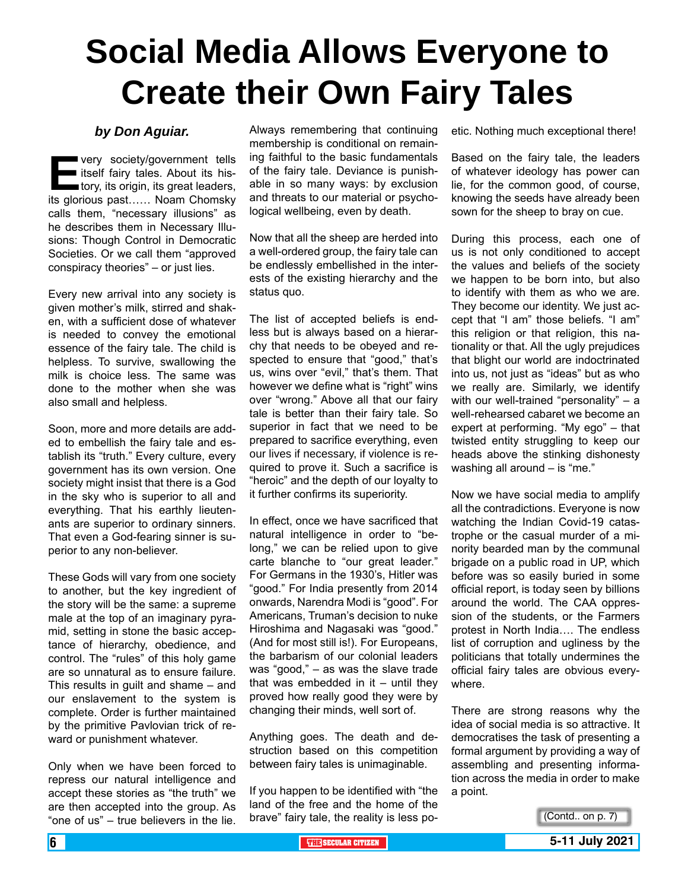# **Social Media Allows Everyone to Create their Own Fairy Tales**

#### *by Don Aguiar.*

**E**very society/government tells itself fairy tales. About its history, its origin, its great leaders, its glorious past…… Noam Chomsky calls them, "necessary illusions" as he describes them in Necessary Illusions: Though Control in Democratic Societies. Or we call them "approved conspiracy theories" – or just lies.

Every new arrival into any society is given mother's milk, stirred and shaken, with a sufficient dose of whatever is needed to convey the emotional essence of the fairy tale. The child is helpless. To survive, swallowing the milk is choice less. The same was done to the mother when she was also small and helpless.

Soon, more and more details are added to embellish the fairy tale and establish its "truth." Every culture, every government has its own version. One society might insist that there is a God in the sky who is superior to all and everything. That his earthly lieutenants are superior to ordinary sinners. That even a God-fearing sinner is superior to any non-believer.

These Gods will vary from one society to another, but the key ingredient of the story will be the same: a supreme male at the top of an imaginary pyramid, setting in stone the basic acceptance of hierarchy, obedience, and control. The "rules" of this holy game are so unnatural as to ensure failure. This results in guilt and shame – and our enslavement to the system is complete. Order is further maintained by the primitive Pavlovian trick of reward or punishment whatever.

Only when we have been forced to repress our natural intelligence and accept these stories as "the truth" we are then accepted into the group. As "one of us" – true believers in the lie.

Always remembering that continuing membership is conditional on remaining faithful to the basic fundamentals of the fairy tale. Deviance is punishable in so many ways: by exclusion and threats to our material or psychological wellbeing, even by death.

Now that all the sheep are herded into a well-ordered group, the fairy tale can be endlessly embellished in the interests of the existing hierarchy and the status quo.

The list of accepted beliefs is endless but is always based on a hierarchy that needs to be obeyed and respected to ensure that "good," that's us, wins over "evil," that's them. That however we define what is "right" wins over "wrong." Above all that our fairy tale is better than their fairy tale. So superior in fact that we need to be prepared to sacrifice everything, even our lives if necessary, if violence is required to prove it. Such a sacrifice is "heroic" and the depth of our loyalty to it further confirms its superiority.

In effect, once we have sacrificed that natural intelligence in order to "belong," we can be relied upon to give carte blanche to "our great leader." For Germans in the 1930's, Hitler was "good." For India presently from 2014 onwards, Narendra Modi is "good". For Americans, Truman's decision to nuke Hiroshima and Nagasaki was "good." (And for most still is!). For Europeans, the barbarism of our colonial leaders was "good," – as was the slave trade that was embedded in it  $-$  until they proved how really good they were by changing their minds, well sort of.

Anything goes. The death and destruction based on this competition between fairy tales is unimaginable.

If you happen to be identified with "the land of the free and the home of the brave" fairy tale, the reality is less poetic. Nothing much exceptional there!

Based on the fairy tale, the leaders of whatever ideology has power can lie, for the common good, of course, knowing the seeds have already been sown for the sheep to bray on cue.

During this process, each one of us is not only conditioned to accept the values and beliefs of the society we happen to be born into, but also to identify with them as who we are. They become our identity. We just accept that "I am" those beliefs. "I am" this religion or that religion, this nationality or that. All the ugly prejudices that blight our world are indoctrinated into us, not just as "ideas" but as who we really are. Similarly, we identify with our well-trained "personality" – a well-rehearsed cabaret we become an expert at performing. "My ego" – that twisted entity struggling to keep our heads above the stinking dishonesty washing all around – is "me."

Now we have social media to amplify all the contradictions. Everyone is now watching the Indian Covid-19 catastrophe or the casual murder of a minority bearded man by the communal brigade on a public road in UP, which before was so easily buried in some official report, is today seen by billions around the world. The CAA oppression of the students, or the Farmers protest in North India…. The endless list of corruption and ugliness by the politicians that totally undermines the official fairy tales are obvious everywhere.

There are strong reasons why the idea of social media is so attractive. It democratises the task of presenting a formal argument by providing a way of assembling and presenting information across the media in order to make a point.

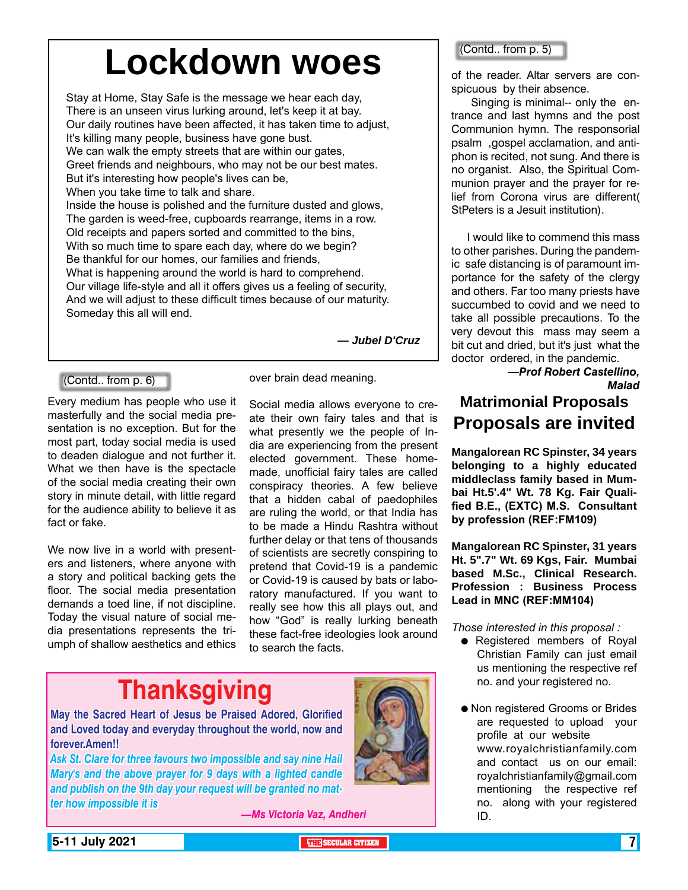# **Lockdown woes**

Stay at Home, Stay Safe is the message we hear each day, There is an unseen virus lurking around, let's keep it at bay. Our daily routines have been affected, it has taken time to adjust, It's killing many people, business have gone bust. We can walk the empty streets that are within our gates, Greet friends and neighbours, who may not be our best mates. But it's interesting how people's lives can be, When you take time to talk and share. Inside the house is polished and the furniture dusted and glows, The garden is weed-free, cupboards rearrange, items in a row. Old receipts and papers sorted and committed to the bins, With so much time to spare each day, where do we begin? Be thankful for our homes, our families and friends, What is happening around the world is hard to comprehend. Our village life-style and all it offers gives us a feeling of security, And we will adjust to these difficult times because of our maturity. Someday this all will end.

*— Jubel D'Cruz*

#### (Contd.. from p. 6)

Every medium has people who use it masterfully and the social media presentation is no exception. But for the most part, today social media is used to deaden dialogue and not further it. What we then have is the spectacle of the social media creating their own story in minute detail, with little regard for the audience ability to believe it as fact or fake.

We now live in a world with presenters and listeners, where anyone with a story and political backing gets the floor. The social media presentation demands a toed line, if not discipline. Today the visual nature of social media presentations represents the triumph of shallow aesthetics and ethics

over brain dead meaning.

Social media allows everyone to create their own fairy tales and that is what presently we the people of India are experiencing from the present elected government. These homemade, unofficial fairy tales are called conspiracy theories. A few believe that a hidden cabal of paedophiles are ruling the world, or that India has to be made a Hindu Rashtra without further delay or that tens of thousands of scientists are secretly conspiring to pretend that Covid-19 is a pandemic or Covid-19 is caused by bats or laboratory manufactured. If you want to really see how this all plays out, and how "God" is really lurking beneath these fact-free ideologies look around to search the facts.

# **Thanksgiving**

**May the Sacred Heart of Jesus be Praised Adored, Glorified and Loved today and everyday throughout the world, now and forever.Amen!!**

*Ask St. Clare for three favours two impossible and say nine Hail Mary's and the above prayer for 9 days with a lighted candle and publish on the 9th day your request will be granted no matter how impossible it is*

*—Ms Victoria Vaz, Andheri*



#### (Contd.. from p. 5)

of the reader. Altar servers are conspicuous by their absence.

 Singing is minimal-- only the entrance and last hymns and the post Communion hymn. The responsorial psalm ,gospel acclamation, and antiphon is recited, not sung. And there is no organist. Also, the Spiritual Communion prayer and the prayer for relief from Corona virus are different( StPeters is a Jesuit institution).

I would like to commend this mass to other parishes. During the pandemic safe distancing is of paramount importance for the safety of the clergy and others. Far too many priests have succumbed to covid and we need to take all possible precautions. To the very devout this mass may seem a bit cut and dried, but it's just what the doctor ordered, in the pandemic.

> *—Prof Robert Castellino, Malad*

## **Matrimonial Proposals Proposals are invited**

**Mangalorean RC Spinster, 34 years belonging to a highly educated middleclass family based in Mumbai Ht.5'.4" Wt. 78 Kg. Fair Qualified B.E., (EXTC) M.S. Consultant by profession (REF:FM109)**

**Mangalorean RC Spinster, 31 years Ht. 5".7" Wt. 69 Kgs, Fair. Mumbai based M.Sc., Clinical Research. Profession : Business Process Lead in MNC (REF:MM104)**

*Those interested in this proposal :*

- Registered members of Royal Christian Family can just email us mentioning the respective ref no. and your registered no.
- Non registered Grooms or Brides are requested to upload your profile at our website www.royalchristianfamily.com and contact us on our email: royalchristianfamily@gmail.com mentioning the respective ref no. along with your registered ID.

**5-11 July 2021 The Secular Citizen 19th Secular Citizen 19th Secular Citizen 19th Secular Citizen 19th Secular Citizen 19th Secular Citizen 19th Secular Citizen 19th Secular Citizen 19th Secular Citizen 19th Secular Cit**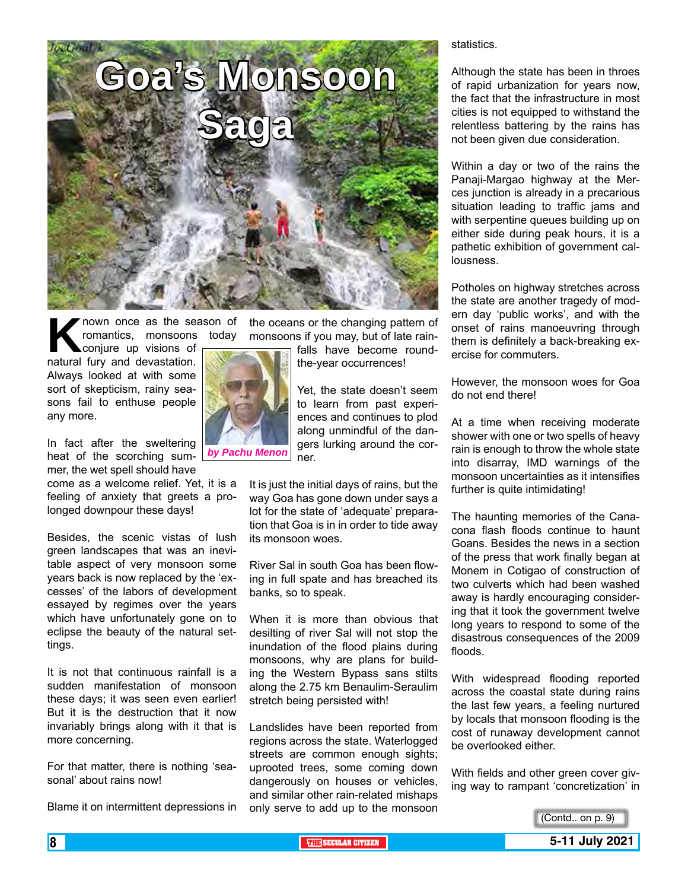

**K** nown once as the season of romantics, monsoons today conjure up visions of natural fury and devastation. romantics, monsoons today

conjure up visions of Always looked at with some sort of skepticism, rainy seasons fail to enthuse people any more.

In fact after the sweltering heat of the scorching sum-*by Pachu Menon* mer, the wet spell should have

come as a welcome relief. Yet, it is a feeling of anxiety that greets a prolonged downpour these days!

Besides, the scenic vistas of lush green landscapes that was an inevitable aspect of very monsoon some years back is now replaced by the 'excesses' of the labors of development essayed by regimes over the years which have unfortunately gone on to eclipse the beauty of the natural settings.

It is not that continuous rainfall is a sudden manifestation of monsoon these days; it was seen even earlier! But it is the destruction that it now invariably brings along with it that is more concerning.

For that matter, there is nothing 'seasonal' about rains now!

Blame it on intermittent depressions in

the oceans or the changing pattern of monsoons if you may, but of late rain-

> falls have become roundthe-year occurrences!

Yet, the state doesn't seem to learn from past experiences and continues to plod along unmindful of the dangers lurking around the corner.

It is just the initial days of rains, but the way Goa has gone down under says a lot for the state of 'adequate' preparation that Goa is in in order to tide away its monsoon woes.

River Sal in south Goa has been flowing in full spate and has breached its banks, so to speak.

When it is more than obvious that desilting of river Sal will not stop the inundation of the flood plains during monsoons, why are plans for building the Western Bypass sans stilts along the 2.75 km Benaulim-Seraulim stretch being persisted with!

Landslides have been reported from regions across the state. Waterlogged streets are common enough sights; uprooted trees, some coming down dangerously on houses or vehicles, and similar other rain-related mishaps only serve to add up to the monsoon statistics.

Although the state has been in throes of rapid urbanization for years now, the fact that the infrastructure in most cities is not equipped to withstand the relentless battering by the rains has not been given due consideration.

Within a day or two of the rains the Panaji-Margao highway at the Merces junction is already in a precarious situation leading to traffic jams and with serpentine queues building up on either side during peak hours, it is a pathetic exhibition of government callousness.

Potholes on highway stretches across the state are another tragedy of modern day 'public works', and with the onset of rains manoeuvring through them is definitely a back-breaking exercise for commuters.

However, the monsoon woes for Goa do not end there!

At a time when receiving moderate shower with one or two spells of heavy rain is enough to throw the whole state into disarray, IMD warnings of the monsoon uncertainties as it intensifies further is quite intimidating!

The haunting memories of the Canacona flash floods continue to haunt Goans. Besides the news in a section of the press that work finally began at Monem in Cotigao of construction of two culverts which had been washed away is hardly encouraging considering that it took the government twelve long years to respond to some of the disastrous consequences of the 2009 floods.

With widespread flooding reported across the coastal state during rains the last few years, a feeling nurtured by locals that monsoon flooding is the cost of runaway development cannot be overlooked either.

With fields and other green cover giving way to rampant 'concretization' in



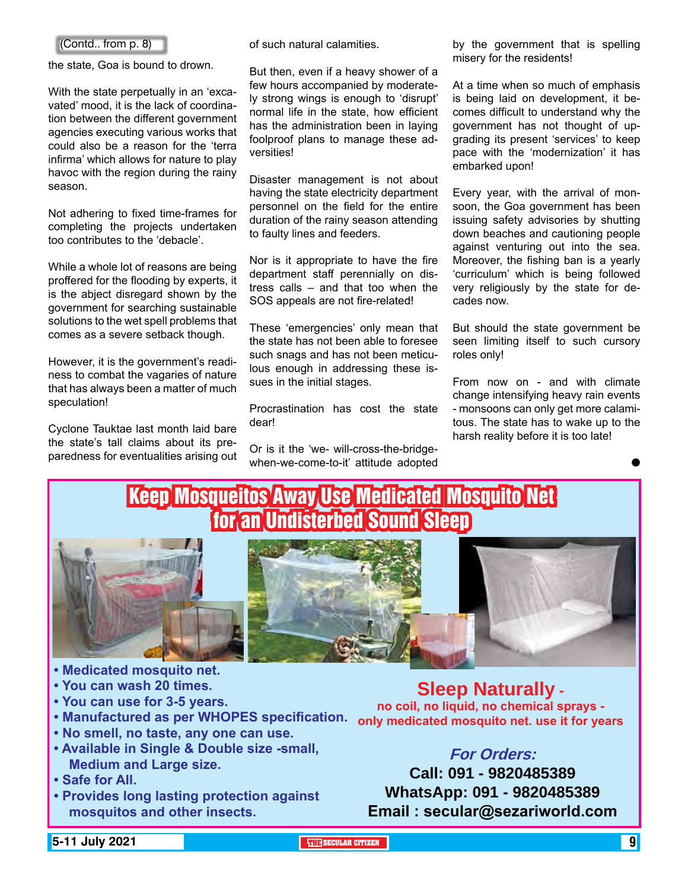#### (Contd.. from p. 8)

the state, Goa is bound to drown.

With the state perpetually in an 'excavated' mood, it is the lack of coordination between the different government agencies executing various works that could also be a reason for the 'terra infirma' which allows for nature to play havoc with the region during the rainy season.

Not adhering to fixed time-frames for completing the projects undertaken too contributes to the 'debacle'.

While a whole lot of reasons are being proffered for the flooding by experts, it is the abject disregard shown by the government for searching sustainable solutions to the wet spell problems that comes as a severe setback though.

However, it is the government's readiness to combat the vagaries of nature that has always been a matter of much speculation!

Cyclone Tauktae last month laid bare the state's tall claims about its preparedness for eventualities arising out of such natural calamities.

But then, even if a heavy shower of a few hours accompanied by moderately strong wings is enough to 'disrupt' normal life in the state, how efficient has the administration been in laying foolproof plans to manage these adversities!

Disaster management is not about having the state electricity department personnel on the field for the entire duration of the rainy season attending to faulty lines and feeders.

Nor is it appropriate to have the fire department staff perennially on distress calls – and that too when the SOS appeals are not fire-related!

These 'emergencies' only mean that the state has not been able to foresee such snags and has not been meticulous enough in addressing these issues in the initial stages.

Procrastination has cost the state dear!

Or is it the 'we- will-cross-the-bridgewhen-we-come-to-it' attitude adopted by the government that is spelling misery for the residents!

At a time when so much of emphasis is being laid on development, it becomes difficult to understand why the government has not thought of upgrading its present 'services' to keep pace with the 'modernization' it has embarked upon!

Every year, with the arrival of monsoon, the Goa government has been issuing safety advisories by shutting down beaches and cautioning people against venturing out into the sea. Moreover, the fishing ban is a yearly 'curriculum' which is being followed very religiously by the state for decades now.

But should the state government be seen limiting itself to such cursory roles only!

From now on - and with climate change intensifying heavy rain events - monsoons can only get more calamitous. The state has to wake up to the harsh reality before it is too late!

 $\bullet$ 



### **For Orders:**

**Call: 091 - 9820485389 WhatsApp: 091 - 9820485389 Email : secular@sezariworld.com**

**5-11 July 2021 THE SECULAR CITIZEN** 9

**• Safe for All.**

**Medium and Large size.**

**mosquitos and other insects.**

**• Provides long lasting protection against**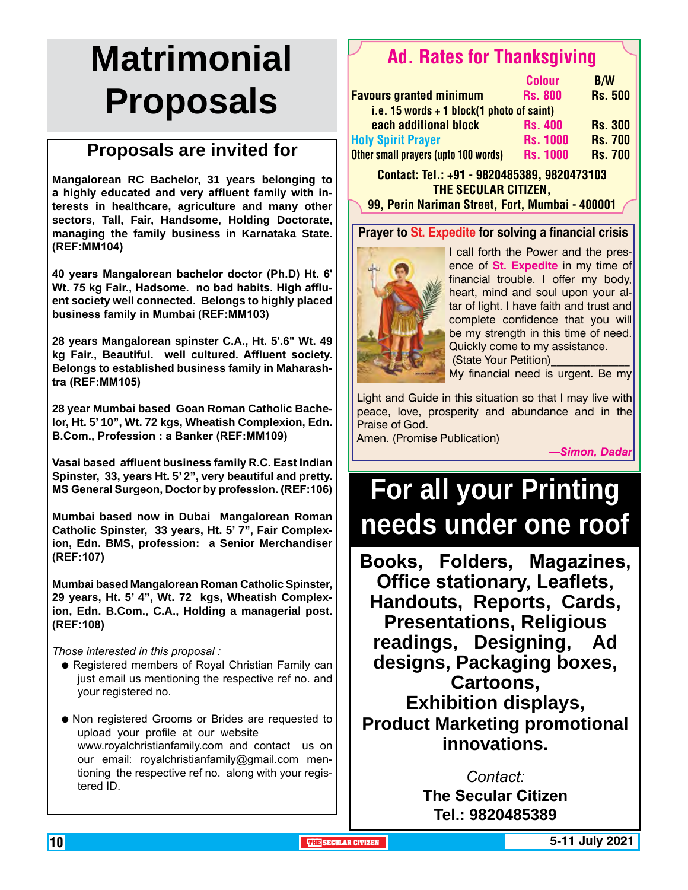# **Matrimonial Proposals**

## **Proposals are invited for**

**Mangalorean RC Bachelor, 31 years belonging to a highly educated and very affluent family with interests in healthcare, agriculture and many other sectors, Tall, Fair, Handsome, Holding Doctorate, managing the family business in Karnataka State. (REF:MM104)**

**40 years Mangalorean bachelor doctor (Ph.D) Ht. 6' Wt. 75 kg Fair., Hadsome. no bad habits. High affluent society well connected. Belongs to highly placed business family in Mumbai (REF:MM103)**

**28 years Mangalorean spinster C.A., Ht. 5'.6" Wt. 49 kg Fair., Beautiful. well cultured. Affluent society. Belongs to established business family in Maharashtra (REF:MM105)**

**28 year Mumbai based Goan Roman Catholic Bachelor, Ht. 5' 10", Wt. 72 kgs, Wheatish Complexion, Edn. B.Com., Profession : a Banker (REF:MM109)**

**Vasai based affluent business family R.C. East Indian Spinster, 33, years Ht. 5' 2", very beautiful and pretty. MS General Surgeon, Doctor by profession. (REF:106)**

**Mumbai based now in Dubai Mangalorean Roman Catholic Spinster, 33 years, Ht. 5' 7", Fair Complexion, Edn. BMS, profession: a Senior Merchandiser (REF:107)**

**Mumbai based Mangalorean Roman Catholic Spinster, 29 years, Ht. 5' 4", Wt. 72 kgs, Wheatish Complexion, Edn. B.Com., C.A., Holding a managerial post. (REF:108)** 

*Those interested in this proposal :*

- Registered members of Royal Christian Family can just email us mentioning the respective ref no. and your registered no.
- Non registered Grooms or Brides are requested to upload your profile at our website www.royalchristianfamily.com and contact us on our email: royalchristianfamily@gmail.com mentioning the respective ref no. along with your registered ID.

## Ad. Rates for Thanksgiving

|                                             | <b>Colour</b>   | <b>B/W</b>     |
|---------------------------------------------|-----------------|----------------|
| <b>Favours granted minimum</b>              | <b>Rs. 800</b>  | <b>Rs. 500</b> |
| i.e. 15 words $+$ 1 block(1 photo of saint) |                 |                |
| each additional block                       | <b>Rs. 400</b>  | <b>Rs. 300</b> |
| <b>Holy Spirit Prayer</b>                   | <b>Rs. 1000</b> | <b>Rs. 700</b> |
| Other small prayers (upto 100 words)        | <b>Rs. 1000</b> | <b>Rs. 700</b> |

Contact: Tel.: +91 - 9820485389, 9820473103 The Secular Citizen,

99, Perin Nariman Street, Fort, Mumbai - 400001

#### **Prayer to St. Expedite for solving a financial crisis**



I call forth the Power and the presence of **St. Expedite** in my time of financial trouble. I offer my body, heart, mind and soul upon your altar of light. I have faith and trust and complete confidence that you will be my strength in this time of need. Quickly come to my assistance. (State Your Petition)\_\_\_\_\_\_\_\_\_\_\_\_\_\_

My financial need is urgent. Be my

Light and Guide in this situation so that I may live with peace, love, prosperity and abundance and in the Praise of God.

Amen. (Promise Publication)

*—Simon, Dadar*

# **For all your Printing needs under one roof**

**Books, Folders, Magazines, Office stationary, Leaflets, Handouts, Reports, Cards, Presentations, Religious readings, Designing, Ad designs, Packaging boxes, Cartoons, Exhibition displays, Product Marketing promotional innovations.**

> *Contact:* **The Secular Citizen**

**Tel.: 9820485389**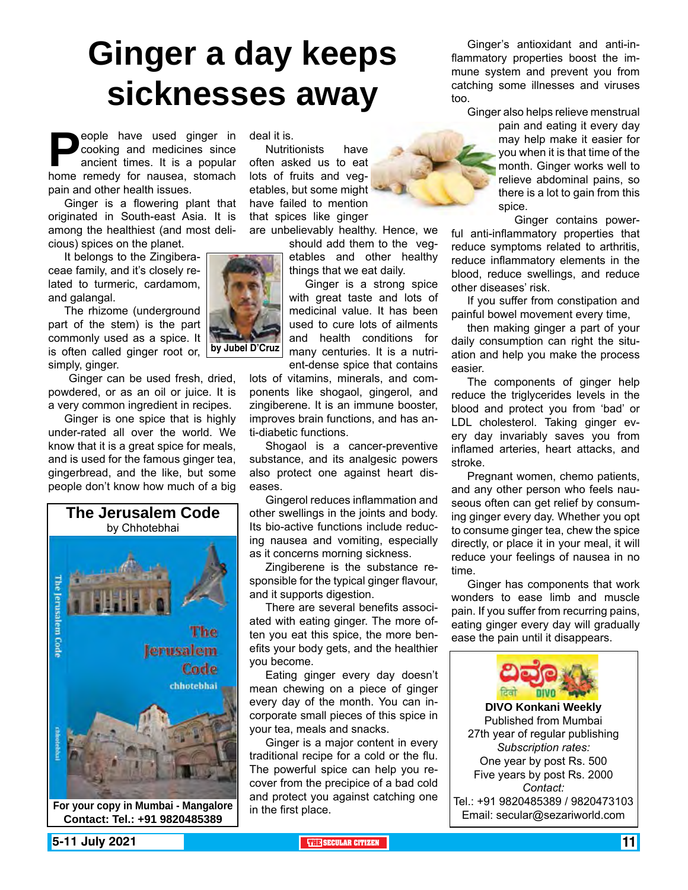# **Ginger a day keeps sicknesses away**

**People have used ginger in cooking and medicines since ancient times. It is a popular home remedy for nausea, stomach** cooking and medicines since ancient times. It is a popular pain and other health issues.

Ginger is a flowering plant that originated in South-east Asia. It is among the healthiest (and most delicious) spices on the planet.

It belongs to the Zingiberaceae family, and it's closely related to turmeric, cardamom, and galangal.

The rhizome (underground part of the stem) is the part commonly used as a spice. It is often called ginger root or, simply, ginger.

 Ginger can be used fresh, dried, powdered, or as an oil or juice. It is a very common ingredient in recipes.

Ginger is one spice that is highly under-rated all over the world. We know that it is a great spice for meals, and is used for the famous ginger tea, gingerbread, and the like, but some people don't know how much of a big



Email: secular@sezariworld.com **For your copy in Mumbai - Mangalore Contact: Tel.: +91 9820485389**

deal it is.

Nutritionists have often asked us to eat lots of fruits and vegetables, but some might have failed to mention that spices like ginger

are unbelievably healthy. Hence, we

should add them to the vegetables and other healthy things that we eat daily.

Ginger is a strong spice with great taste and lots of medicinal value. It has been used to cure lots of ailments and health conditions for many centuries. It is a nutrient-dense spice that contains

lots of vitamins, minerals, and components like shogaol, gingerol, and zingiberene. It is an immune booster, improves brain functions, and has anti-diabetic functions.

Shogaol is a cancer-preventive substance, and its analgesic powers also protect one against heart diseases.

Gingerol reduces inflammation and other swellings in the joints and body. Its bio-active functions include reducing nausea and vomiting, especially as it concerns morning sickness.

Zingiberene is the substance responsible for the typical ginger flavour, and it supports digestion.

There are several benefits associated with eating ginger. The more often you eat this spice, the more benefits your body gets, and the healthier you become.

Eating ginger every day doesn't mean chewing on a piece of ginger every day of the month. You can incorporate small pieces of this spice in your tea, meals and snacks.

Ginger is a major content in every traditional recipe for a cold or the flu. The powerful spice can help you recover from the precipice of a bad cold and protect you against catching one in the first place.

Ginger's antioxidant and anti-inflammatory properties boost the immune system and prevent you from catching some illnesses and viruses too.

Ginger also helps relieve menstrual pain and eating it every day may help make it easier for you when it is that time of the month. Ginger works well to relieve abdominal pains, so there is a lot to gain from this spice.

Ginger contains powerful anti-inflammatory properties that reduce symptoms related to arthritis, reduce inflammatory elements in the blood, reduce swellings, and reduce other diseases' risk.

If you suffer from constipation and painful bowel movement every time,

then making ginger a part of your daily consumption can right the situation and help you make the process easier.

The components of ginger help reduce the triglycerides levels in the blood and protect you from 'bad' or LDL cholesterol. Taking ginger every day invariably saves you from inflamed arteries, heart attacks, and stroke.

Pregnant women, chemo patients, and any other person who feels nauseous often can get relief by consuming ginger every day. Whether you opt to consume ginger tea, chew the spice directly, or place it in your meal, it will reduce your feelings of nausea in no time.

Ginger has components that work wonders to ease limb and muscle pain. If you suffer from recurring pains, eating ginger every day will gradually ease the pain until it disappears.



Published from Mumbai 27th year of regular publishing *Subscription rates:* One year by post Rs. 500 Five years by post Rs. 2000 *Contact:*  Tel.: +91 9820485389 / 9820473103

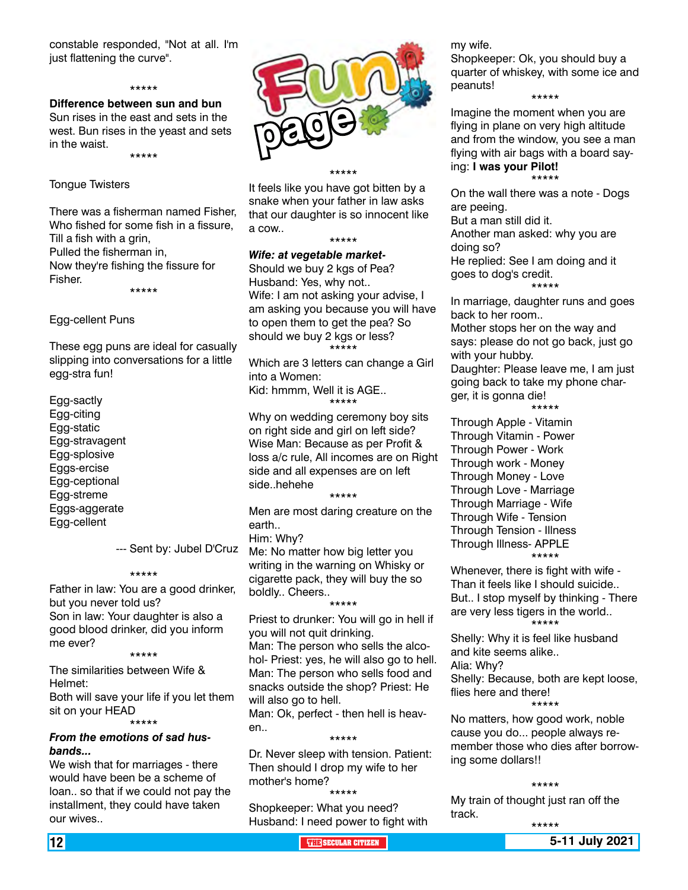constable responded, "Not at all. I'm just flattening the curve".

#### \*\*\*\*\*

**Difference between sun and bun** Sun rises in the east and sets in the west. Bun rises in the yeast and sets in the waist.

\*\*\*\*\*

#### Tongue Twisters

There was a fisherman named Fisher, Who fished for some fish in a fissure, Till a fish with a grin, Pulled the fisherman in, Now they're fishing the fissure for Fisher. \*\*\*\*\*

Egg-cellent Puns

These egg puns are ideal for casually slipping into conversations for a little egg-stra fun!

Egg-sactly Egg-citing Egg-static Egg-stravagent Egg-splosive Eggs-ercise Egg-ceptional Egg-streme Eggs-aggerate Egg-cellent

--- Sent by: Jubel D'Cruz

#### \*\*\*\*\*

Father in law: You are a good drinker, but you never told us? Son in law: Your daughter is also a good blood drinker, did you inform me ever?

\*\*\*\*\*

The similarities between Wife & Helmet:

Both will save your life if you let them sit on your HEAD \*\*\*\*\*

#### *From the emotions of sad husbands...*

We wish that for marriages - there would have been be a scheme of loan.. so that if we could not pay the installment, they could have taken our wives..



\*\*\*\*\*

It feels like you have got bitten by a snake when your father in law asks that our daughter is so innocent like a cow..

#### \*\*\*\*\*

*Wife: at vegetable market-*Should we buy 2 kgs of Pea? Husband: Yes, why not.. Wife: I am not asking your advise, I am asking you because you will have

to open them to get the pea? So should we buy 2 kgs or less? \*\*\*\*\*

Which are 3 letters can change a Girl into a Women:

Kid: hmmm, Well it is AGE.. \*\*\*\*\*

Why on wedding ceremony boy sits on right side and girl on left side? Wise Man: Because as per Profit & loss a/c rule, All incomes are on Right side and all expenses are on left side..hehehe

\*\*\*\*\* Men are most daring creature on the earth..

Him: Why?

Me: No matter how big letter you writing in the warning on Whisky or cigarette pack, they will buy the so boldly.. Cheers..

\*\*\*\*\* Priest to drunker: You will go in hell if you will not quit drinking. Man: The person who sells the alcohol- Priest: yes, he will also go to hell. Man: The person who sells food and snacks outside the shop? Priest: He will also go to hell.

Man: Ok, perfect - then hell is heaven..

\*\*\*\*\* Dr. Never sleep with tension. Patient: Then should I drop my wife to her mother's home?

#### \*\*\*\*\*

Shopkeeper: What you need? Husband: I need power to fight with my wife.

Shopkeeper: Ok, you should buy a quarter of whiskey, with some ice and peanuts!

\*\*\*\*\*

Imagine the moment when you are flying in plane on very high altitude and from the window, you see a man flying with air bags with a board saying: **I was your Pilot!** \*\*\*\*\*

On the wall there was a note - Dogs are peeing.

But a man still did it. Another man asked: why you are doing so? He replied: See I am doing and it goes to dog's credit. \*\*\*\*\*

In marriage, daughter runs and goes back to her room..

Mother stops her on the way and says: please do not go back, just go with your hubby.

Daughter: Please leave me, I am just going back to take my phone charger, it is gonna die! \*\*\*\*\*

Through Apple - Vitamin Through Vitamin - Power Through Power - Work Through work - Money Through Money - Love Through Love - Marriage Through Marriage - Wife Through Wife - Tension Through Tension - Illness Through Illness- APPLE \*\*\*\*\*

Whenever, there is fight with wife - Than it feels like I should suicide.. But.. I stop myself by thinking - There are very less tigers in the world.. \*\*\*\*\*

Shelly: Why it is feel like husband and kite seems alike..

Alia: Why?

Shelly: Because, both are kept loose, flies here and there!

\*\*\*\*\*

No matters, how good work, noble cause you do... people always remember those who dies after borrowing some dollars!!

#### \*\*\*\*\*

\*\*\*\*\*

My train of thought just ran off the track.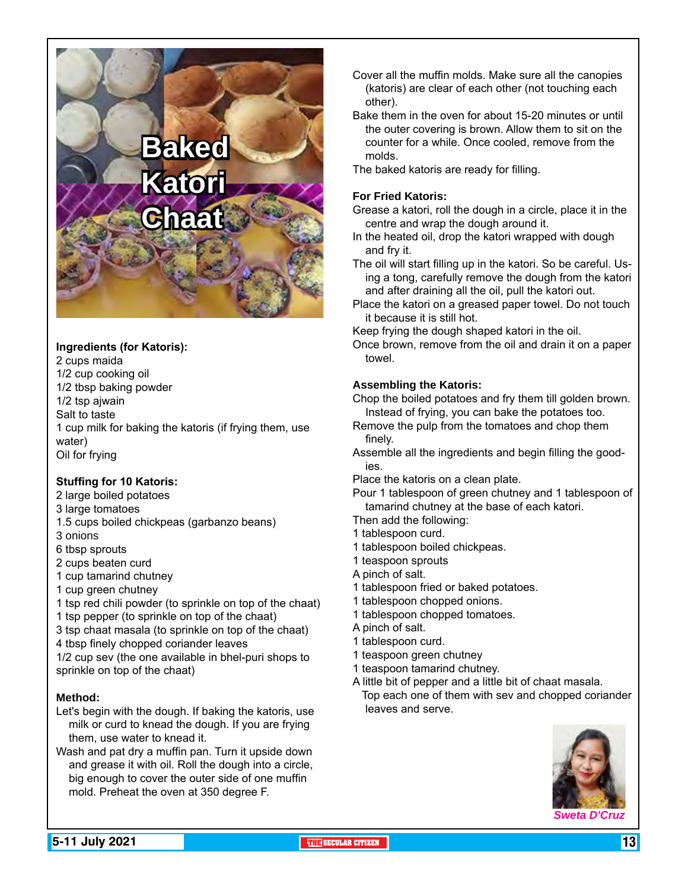# **Baked Katori Chaat**

#### **Ingredients (for Katoris):**

2 cups maida 1/2 cup cooking oil 1/2 tbsp baking powder 1/2 tsp ajwain Salt to taste 1 cup milk for baking the katoris (if frying them, use water) Oil for frying

#### **Stuffing for 10 Katoris:**

- 2 large boiled potatoes
- 3 large tomatoes
- 1.5 cups boiled chickpeas (garbanzo beans)
- 3 onions
- 6 tbsp sprouts
- 2 cups beaten curd
- 1 cup tamarind chutney
- 1 cup green chutney
- 1 tsp red chili powder (to sprinkle on top of the chaat)
- 1 tsp pepper (to sprinkle on top of the chaat)
- 3 tsp chaat masala (to sprinkle on top of the chaat)
- 4 tbsp finely chopped coriander leaves
- 1/2 cup sev (the one available in bhel-puri shops to sprinkle on top of the chaat)

#### **Method:**

- Let's begin with the dough. If baking the katoris, use milk or curd to knead the dough. If you are frying them, use water to knead it.
- Wash and pat dry a muffin pan. Turn it upside down and grease it with oil. Roll the dough into a circle, big enough to cover the outer side of one muffin mold. Preheat the oven at 350 degree F.
- Cover all the muffin molds. Make sure all the canopies (katoris) are clear of each other (not touching each other).
- Bake them in the oven for about 15-20 minutes or until the outer covering is brown. Allow them to sit on the counter for a while. Once cooled, remove from the molds.
- The baked katoris are ready for filling.

#### **For Fried Katoris:**

- Grease a katori, roll the dough in a circle, place it in the centre and wrap the dough around it.
- In the heated oil, drop the katori wrapped with dough and fry it.
- The oil will start filling up in the katori. So be careful. Using a tong, carefully remove the dough from the katori and after draining all the oil, pull the katori out.
- Place the katori on a greased paper towel. Do not touch it because it is still hot.
- Keep frying the dough shaped katori in the oil.
- Once brown, remove from the oil and drain it on a paper towel.

#### **Assembling the Katoris:**

Chop the boiled potatoes and fry them till golden brown. Instead of frying, you can bake the potatoes too.

- Remove the pulp from the tomatoes and chop them finely.
- Assemble all the ingredients and begin filling the goodies.
- Place the katoris on a clean plate.
- Pour 1 tablespoon of green chutney and 1 tablespoon of tamarind chutney at the base of each katori.
- Then add the following:
- 1 tablespoon curd.
- 1 tablespoon boiled chickpeas.
- 1 teaspoon sprouts
- A pinch of salt.
- 1 tablespoon fried or baked potatoes.
- 1 tablespoon chopped onions.
- 1 tablespoon chopped tomatoes.
- A pinch of salt.
- 1 tablespoon curd.
- 1 teaspoon green chutney
- 1 teaspoon tamarind chutney.
- A little bit of pepper and a little bit of chaat masala. Top each one of them with sev and chopped coriander leaves and serve.

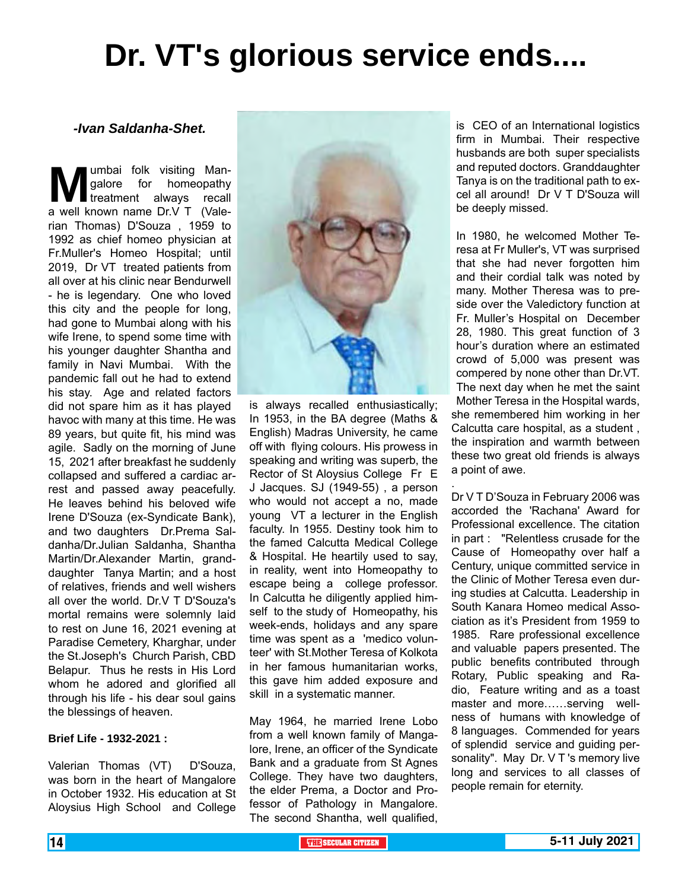# **Dr. VT's glorious service ends....**

#### *-Ivan Saldanha-Shet.*

**Man-** galore for homeopathy<br>treatment always recall<br>a well known name Dr.V T (Valegalore for homeopathy treatment always recall rian Thomas) D'Souza , 1959 to 1992 as chief homeo physician at Fr.Muller's Homeo Hospital; until 2019, Dr VT treated patients from all over at his clinic near Bendurwell - he is legendary. One who loved this city and the people for long, had gone to Mumbai along with his wife Irene, to spend some time with his younger daughter Shantha and family in Navi Mumbai. With the pandemic fall out he had to extend his stay. Age and related factors did not spare him as it has played havoc with many at this time. He was 89 years, but quite fit, his mind was agile. Sadly on the morning of June 15, 2021 after breakfast he suddenly collapsed and suffered a cardiac arrest and passed away peacefully. He leaves behind his beloved wife Irene D'Souza (ex-Syndicate Bank), and two daughters Dr.Prema Saldanha/Dr.Julian Saldanha, Shantha Martin/Dr.Alexander Martin, granddaughter Tanya Martin; and a host of relatives, friends and well wishers all over the world. Dr.V T D'Souza's mortal remains were solemnly laid to rest on June 16, 2021 evening at Paradise Cemetery, Kharghar, under the St.Joseph's Church Parish, CBD Belapur. Thus he rests in His Lord whom he adored and glorified all through his life - his dear soul gains the blessings of heaven.

#### **Brief Life - 1932-2021 :**

Valerian Thomas (VT) D'Souza, was born in the heart of Mangalore in October 1932. His education at St Aloysius High School and College



is always recalled enthusiastically; In 1953, in the BA degree (Maths & English) Madras University, he came off with flying colours. His prowess in speaking and writing was superb, the Rector of St Aloysius College Fr E J Jacques. SJ (1949-55) , a person who would not accept a no, made young VT a lecturer in the English faculty. In 1955. Destiny took him to the famed Calcutta Medical College & Hospital. He heartily used to say, in reality, went into Homeopathy to escape being a college professor. In Calcutta he diligently applied himself to the study of Homeopathy, his week-ends, holidays and any spare time was spent as a 'medico volunteer' with St.Mother Teresa of Kolkota in her famous humanitarian works, this gave him added exposure and skill in a systematic manner.

.

May 1964, he married Irene Lobo from a well known family of Mangalore, Irene, an officer of the Syndicate Bank and a graduate from St Agnes College. They have two daughters, the elder Prema, a Doctor and Professor of Pathology in Mangalore. The second Shantha, well qualified, is CEO of an International logistics firm in Mumbai. Their respective husbands are both super specialists and reputed doctors. Granddaughter Tanya is on the traditional path to excel all around! Dr V T D'Souza will be deeply missed.

In 1980, he welcomed Mother Teresa at Fr Muller's, VT was surprised that she had never forgotten him and their cordial talk was noted by many. Mother Theresa was to preside over the Valedictory function at Fr. Muller's Hospital on December 28, 1980. This great function of 3 hour's duration where an estimated crowd of 5,000 was present was compered by none other than Dr.VT. The next day when he met the saint Mother Teresa in the Hospital wards, she remembered him working in her Calcutta care hospital, as a student , the inspiration and warmth between these two great old friends is always a point of awe.

Dr V T D'Souza in February 2006 was accorded the 'Rachana' Award for Professional excellence. The citation in part : "Relentless crusade for the Cause of Homeopathy over half a Century, unique committed service in the Clinic of Mother Teresa even during studies at Calcutta. Leadership in South Kanara Homeo medical Association as it's President from 1959 to 1985. Rare professional excellence and valuable papers presented. The public benefits contributed through Rotary, Public speaking and Radio, Feature writing and as a toast master and more……serving wellness of humans with knowledge of 8 languages. Commended for years of splendid service and guiding personality". May Dr. V T 's memory live long and services to all classes of people remain for eternity.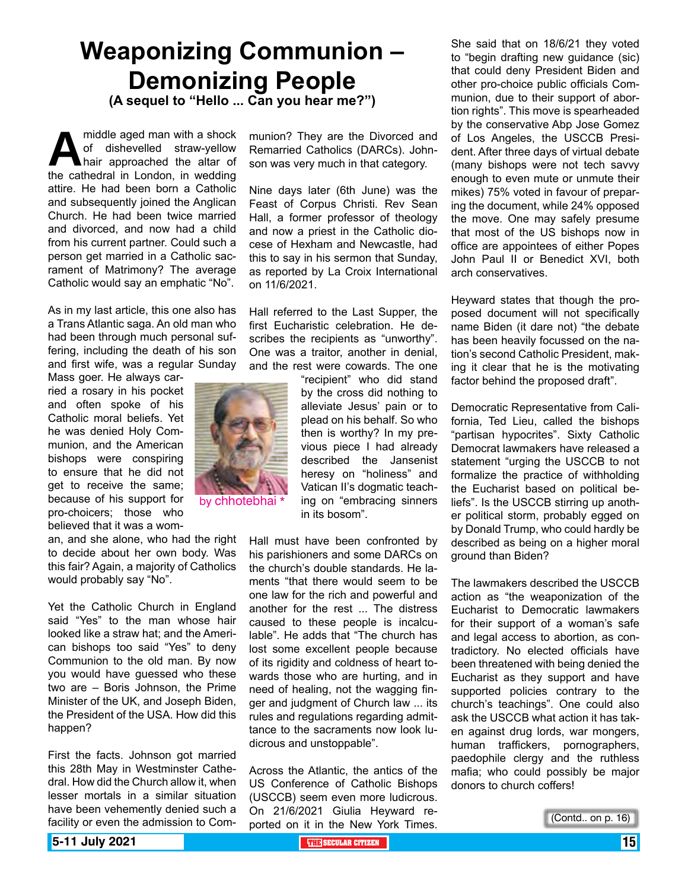# **Weaponizing Communion – Demonizing People**

**(A sequel to "Hello ... Can you hear me?")**

middle aged man with a shock<br>of dishevelled straw-yellow<br>the cathedral in London, in wedding of dishevelled straw-yellow hair approached the altar of the cathedral in London, in wedding attire. He had been born a Catholic and subsequently joined the Anglican Church. He had been twice married and divorced, and now had a child from his current partner. Could such a person get married in a Catholic sacrament of Matrimony? The average Catholic would say an emphatic "No".

As in my last article, this one also has a Trans Atlantic saga. An old man who had been through much personal suffering, including the death of his son and first wife, was a regular Sunday

Mass goer. He always carried a rosary in his pocket and often spoke of his Catholic moral beliefs. Yet he was denied Holy Communion, and the American bishops were conspiring to ensure that he did not get to receive the same; because of his support for pro-choicers; those who believed that it was a wom-

an, and she alone, who had the right to decide about her own body. Was this fair? Again, a majority of Catholics would probably say "No".

Yet the Catholic Church in England said "Yes" to the man whose hair looked like a straw hat; and the American bishops too said "Yes" to deny Communion to the old man. By now you would have guessed who these two are – Boris Johnson, the Prime Minister of the UK, and Joseph Biden, the President of the USA. How did this happen?

First the facts. Johnson got married this 28th May in Westminster Cathedral. How did the Church allow it, when lesser mortals in a similar situation have been vehemently denied such a facility or even the admission to Communion? They are the Divorced and Remarried Catholics (DARCs). Johnson was very much in that category.

Nine days later (6th June) was the Feast of Corpus Christi. Rev Sean Hall, a former professor of theology and now a priest in the Catholic diocese of Hexham and Newcastle, had this to say in his sermon that Sunday, as reported by La Croix International on 11/6/2021.

Hall referred to the Last Supper, the first Eucharistic celebration. He describes the recipients as "unworthy". One was a traitor, another in denial, and the rest were cowards. The one

> "recipient" who did stand by the cross did nothing to alleviate Jesus' pain or to plead on his behalf. So who then is worthy? In my previous piece I had already described the Jansenist heresy on "holiness" and Vatican II's dogmatic teaching on "embracing sinners in its bosom".

Hall must have been confronted by his parishioners and some DARCs on the church's double standards. He laments "that there would seem to be one law for the rich and powerful and another for the rest ... The distress caused to these people is incalculable". He adds that "The church has lost some excellent people because of its rigidity and coldness of heart towards those who are hurting, and in need of healing, not the wagging finger and judgment of Church law ... its rules and regulations regarding admittance to the sacraments now look ludicrous and unstoppable".

Across the Atlantic, the antics of the US Conference of Catholic Bishops (USCCB) seem even more ludicrous. On 21/6/2021 Giulia Heyward reported on it in the New York Times.

She said that on 18/6/21 they voted to "begin drafting new guidance (sic) that could deny President Biden and other pro-choice public officials Communion, due to their support of abortion rights". This move is spearheaded by the conservative Abp Jose Gomez of Los Angeles, the USCCB President. After three days of virtual debate (many bishops were not tech savvy enough to even mute or unmute their mikes) 75% voted in favour of preparing the document, while 24% opposed the move. One may safely presume that most of the US bishops now in office are appointees of either Popes John Paul II or Benedict XVI, both arch conservatives.

Heyward states that though the proposed document will not specifically name Biden (it dare not) "the debate has been heavily focussed on the nation's second Catholic President, making it clear that he is the motivating factor behind the proposed draft".

Democratic Representative from California, Ted Lieu, called the bishops "partisan hypocrites". Sixty Catholic Democrat lawmakers have released a statement "urging the USCCB to not formalize the practice of withholding the Eucharist based on political beliefs". Is the USCCB stirring up another political storm, probably egged on by Donald Trump, who could hardly be described as being on a higher moral ground than Biden?

The lawmakers described the USCCB action as "the weaponization of the Eucharist to Democratic lawmakers for their support of a woman's safe and legal access to abortion, as contradictory. No elected officials have been threatened with being denied the Eucharist as they support and have supported policies contrary to the church's teachings". One could also ask the USCCB what action it has taken against drug lords, war mongers, human traffickers, pornographers, paedophile clergy and the ruthless mafia; who could possibly be major donors to church coffers!

```
(Contd.. on p. 16)
```
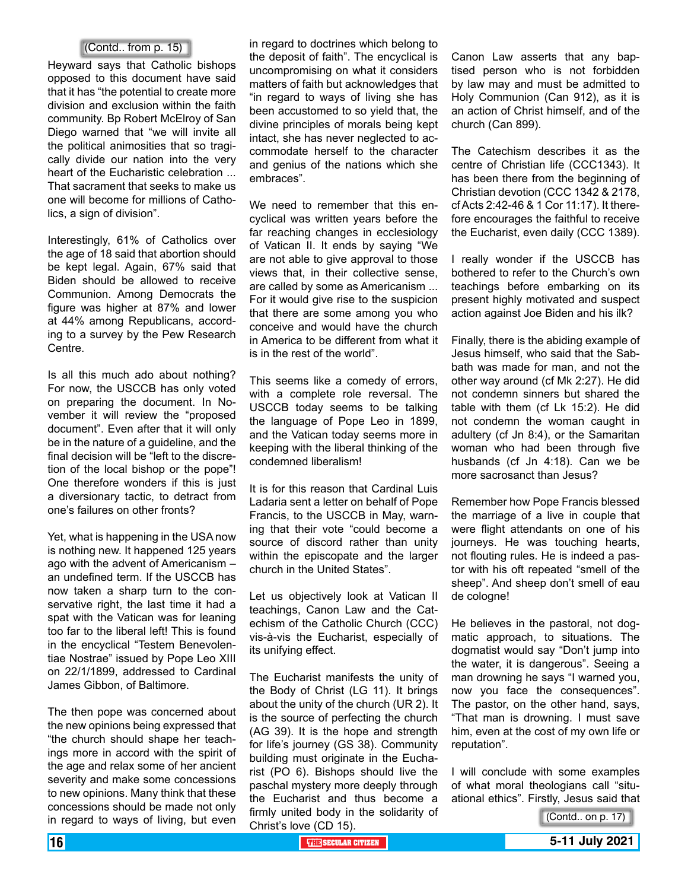#### (Contd.. from p. 15)

Heyward says that Catholic bishops opposed to this document have said that it has "the potential to create more division and exclusion within the faith community. Bp Robert McElroy of San Diego warned that "we will invite all the political animosities that so tragically divide our nation into the very heart of the Eucharistic celebration ... That sacrament that seeks to make us one will become for millions of Catholics, a sign of division".

Interestingly, 61% of Catholics over the age of 18 said that abortion should be kept legal. Again, 67% said that Biden should be allowed to receive Communion. Among Democrats the figure was higher at 87% and lower at 44% among Republicans, according to a survey by the Pew Research Centre.

Is all this much ado about nothing? For now, the USCCB has only voted on preparing the document. In November it will review the "proposed document". Even after that it will only be in the nature of a guideline, and the final decision will be "left to the discretion of the local bishop or the pope"! One therefore wonders if this is just a diversionary tactic, to detract from one's failures on other fronts?

Yet, what is happening in the USA now is nothing new. It happened 125 years ago with the advent of Americanism – an undefined term. If the USCCB has now taken a sharp turn to the conservative right, the last time it had a spat with the Vatican was for leaning too far to the liberal left! This is found in the encyclical "Testem Benevolentiae Nostrae" issued by Pope Leo XIII on 22/1/1899, addressed to Cardinal James Gibbon, of Baltimore.

The then pope was concerned about the new opinions being expressed that "the church should shape her teachings more in accord with the spirit of the age and relax some of her ancient severity and make some concessions to new opinions. Many think that these concessions should be made not only in regard to ways of living, but even

in regard to doctrines which belong to the deposit of faith". The encyclical is uncompromising on what it considers matters of faith but acknowledges that "in regard to ways of living she has been accustomed to so yield that, the divine principles of morals being kept intact, she has never neglected to accommodate herself to the character and genius of the nations which she embraces".

We need to remember that this encyclical was written years before the far reaching changes in ecclesiology of Vatican II. It ends by saying "We are not able to give approval to those views that, in their collective sense, are called by some as Americanism ... For it would give rise to the suspicion that there are some among you who conceive and would have the church in America to be different from what it is in the rest of the world".

This seems like a comedy of errors, with a complete role reversal. The USCCB today seems to be talking the language of Pope Leo in 1899, and the Vatican today seems more in keeping with the liberal thinking of the condemned liberalism!

It is for this reason that Cardinal Luis Ladaria sent a letter on behalf of Pope Francis, to the USCCB in May, warning that their vote "could become a source of discord rather than unity within the episcopate and the larger church in the United States".

Let us objectively look at Vatican II teachings, Canon Law and the Catechism of the Catholic Church (CCC) vis-à-vis the Eucharist, especially of its unifying effect.

The Eucharist manifests the unity of the Body of Christ (LG 11). It brings about the unity of the church (UR 2). It is the source of perfecting the church (AG 39). It is the hope and strength for life's journey (GS 38). Community building must originate in the Eucharist (PO 6). Bishops should live the paschal mystery more deeply through the Eucharist and thus become a firmly united body in the solidarity of Christ's love (CD 15).

Canon Law asserts that any baptised person who is not forbidden by law may and must be admitted to Holy Communion (Can 912), as it is an action of Christ himself, and of the church (Can 899).

The Catechism describes it as the centre of Christian life (CCC1343). It has been there from the beginning of Christian devotion (CCC 1342 & 2178, cf Acts 2:42-46 & 1 Cor 11:17). It therefore encourages the faithful to receive the Eucharist, even daily (CCC 1389).

I really wonder if the USCCB has bothered to refer to the Church's own teachings before embarking on its present highly motivated and suspect action against Joe Biden and his ilk?

Finally, there is the abiding example of Jesus himself, who said that the Sabbath was made for man, and not the other way around (cf Mk 2:27). He did not condemn sinners but shared the table with them (cf Lk 15:2). He did not condemn the woman caught in adultery (cf Jn 8:4), or the Samaritan woman who had been through five husbands (cf Jn 4:18). Can we be more sacrosanct than Jesus?

Remember how Pope Francis blessed the marriage of a live in couple that were flight attendants on one of his journeys. He was touching hearts, not flouting rules. He is indeed a pastor with his oft repeated "smell of the sheep". And sheep don't smell of eau de cologne!

He believes in the pastoral, not dogmatic approach, to situations. The dogmatist would say "Don't jump into the water, it is dangerous". Seeing a man drowning he says "I warned you, now you face the consequences". The pastor, on the other hand, says, "That man is drowning. I must save him, even at the cost of my own life or reputation".

I will conclude with some examples of what moral theologians call "situational ethics". Firstly, Jesus said that

<sup>(</sup>Contd.. on p. 17)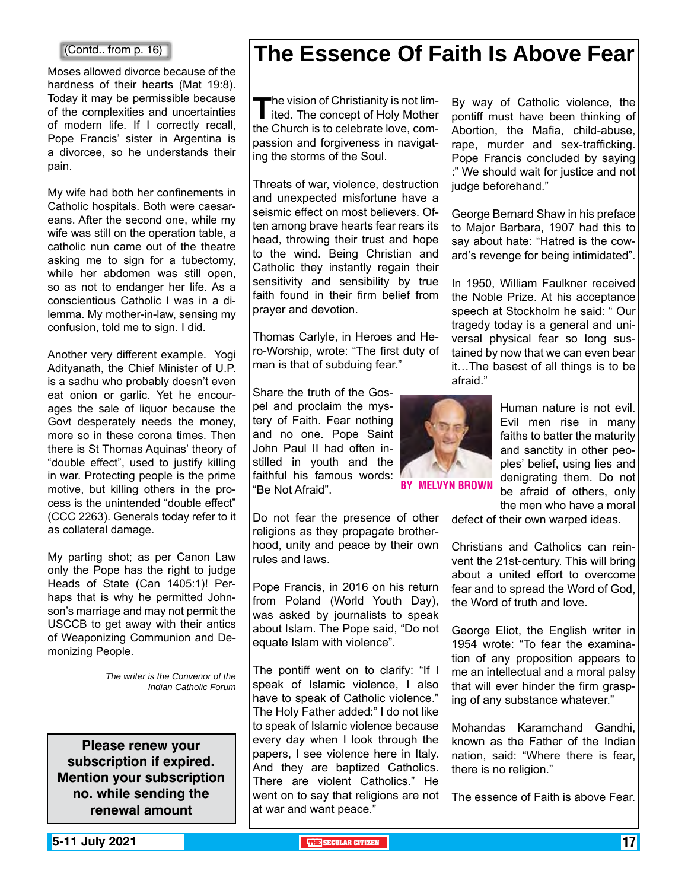#### (Contd.. from p. 16)

Moses allowed divorce because of the hardness of their hearts (Mat 19:8). Today it may be permissible because of the complexities and uncertainties of modern life. If I correctly recall, Pope Francis' sister in Argentina is a divorcee, so he understands their pain.

My wife had both her confinements in Catholic hospitals. Both were caesareans. After the second one, while my wife was still on the operation table, a catholic nun came out of the theatre asking me to sign for a tubectomy, while her abdomen was still open, so as not to endanger her life. As a conscientious Catholic I was in a dilemma. My mother-in-law, sensing my confusion, told me to sign. I did.

Another very different example. Yogi Adityanath, the Chief Minister of U.P. is a sadhu who probably doesn't even eat onion or garlic. Yet he encourages the sale of liquor because the Govt desperately needs the money, more so in these corona times. Then there is St Thomas Aquinas' theory of "double effect", used to justify killing in war. Protecting people is the prime motive, but killing others in the process is the unintended "double effect" (CCC 2263). Generals today refer to it as collateral damage.

My parting shot; as per Canon Law only the Pope has the right to judge Heads of State (Can 1405:1)! Perhaps that is why he permitted Johnson's marriage and may not permit the USCCB to get away with their antics of Weaponizing Communion and Demonizing People.

> *The writer is the Convenor of the Indian Catholic Forum*

**Please renew your subscription if expired. Mention your subscription no. while sending the renewal amount**

## **The Essence Of Faith Is Above Fear**

The vision of Christianity is not lim-<br>ited. The concept of Holy Mother<br>the Church is to selekate law seem the Church is to celebrate love, compassion and forgiveness in navigating the storms of the Soul.

Threats of war, violence, destruction and unexpected misfortune have a seismic effect on most believers. Often among brave hearts fear rears its head, throwing their trust and hope to the wind. Being Christian and Catholic they instantly regain their sensitivity and sensibility by true faith found in their firm belief from prayer and devotion.

Thomas Carlyle, in Heroes and Hero-Worship, wrote: "The first duty of man is that of subduing fear."

Share the truth of the Gospel and proclaim the mystery of Faith. Fear nothing and no one. Pope Saint John Paul II had often instilled in youth and the faithful his famous words: "Be Not Afraid".

Do not fear the presence of other religions as they propagate brotherhood, unity and peace by their own rules and laws.

Pope Francis, in 2016 on his return from Poland (World Youth Day), was asked by journalists to speak about Islam. The Pope said, "Do not equate Islam with violence".

The pontiff went on to clarify: "If I speak of Islamic violence, I also have to speak of Catholic violence." The Holy Father added:" I do not like to speak of Islamic violence because every day when I look through the papers, I see violence here in Italy. And they are baptized Catholics. There are violent Catholics." He went on to say that religions are not The essence of Faith is above Fear. at war and want peace."

By way of Catholic violence, the pontiff must have been thinking of Abortion, the Mafia, child-abuse, rape, murder and sex-trafficking. Pope Francis concluded by saying :" We should wait for justice and not judge beforehand."

George Bernard Shaw in his preface to Major Barbara, 1907 had this to say about hate: "Hatred is the coward's revenge for being intimidated".

In 1950, William Faulkner received the Noble Prize. At his acceptance speech at Stockholm he said: " Our tragedy today is a general and universal physical fear so long sustained by now that we can even bear it…The basest of all things is to be afraid."



By Melvyn Brown

Human nature is not evil. Evil men rise in many faiths to batter the maturity and sanctity in other peoples' belief, using lies and denigrating them. Do not be afraid of others, only the men who have a moral

defect of their own warped ideas.

Christians and Catholics can reinvent the 21st-century. This will bring about a united effort to overcome fear and to spread the Word of God, the Word of truth and love.

George Eliot, the English writer in 1954 wrote: "To fear the examination of any proposition appears to me an intellectual and a moral palsy that will ever hinder the firm grasping of any substance whatever."

Mohandas Karamchand Gandhi, known as the Father of the Indian nation, said: "Where there is fear, there is no religion."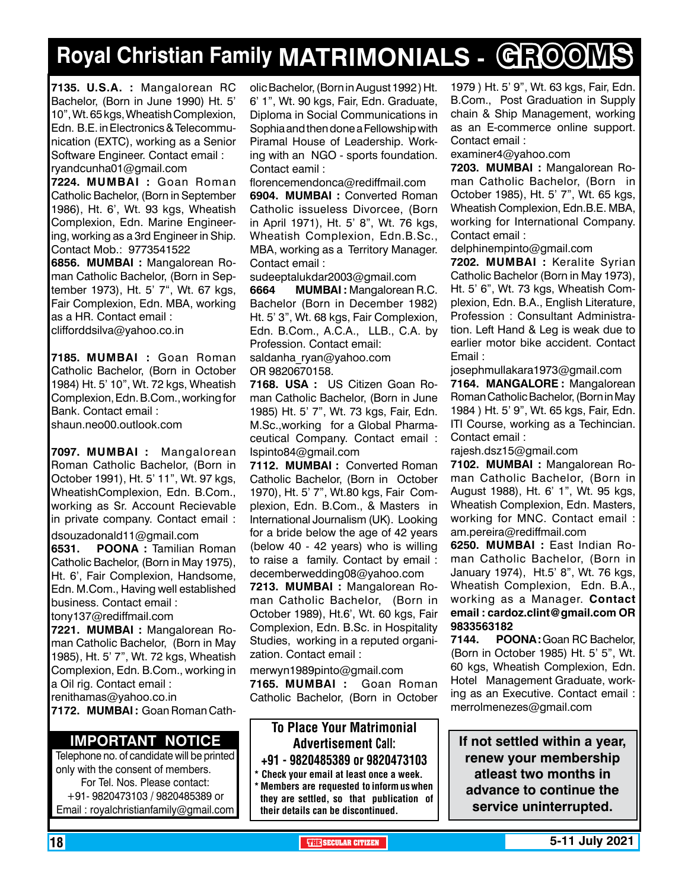# **Royal Christian Family MATRIMONIALS - GROOMS**

**7135. U.S.A. :** Mangalorean RC Bachelor, (Born in June 1990) Ht. 5' 10", Wt. 65 kgs, Wheatish Complexion, Edn. B.E. in Electronics & Telecommunication (EXTC), working as a Senior Software Engineer. Contact email : ryandcunha01@gmail.com

**7224. MUMBAI :** Goan Roman Catholic Bachelor, (Born in September 1986), Ht. 6', Wt. 93 kgs, Wheatish Complexion, Edn. Marine Engineering, working as a 3rd Engineer in Ship. Contact Mob.: 9773541522

**6856. MuMBAI :** Mangalorean Roman Catholic Bachelor, (Born in September 1973), Ht. 5' 7", Wt. 67 kgs, Fair Complexion, Edn. MBA, working as a HR. Contact email : clifforddsilva@yahoo.co.in

**7185. MUMBAI :** Goan Roman Catholic Bachelor, (Born in October 1984) Ht. 5' 10", Wt. 72 kgs, Wheatish Complexion, Edn. B.Com., working for Bank. Contact email : shaun.neo00.outlook.com

**7097. MUMBAI :** Mangalorean Roman Catholic Bachelor, (Born in October 1991), Ht. 5' 11", Wt. 97 kgs, WheatishComplexion, Edn. B.Com., working as Sr. Account Recievable in private company. Contact email : dsouzadonald11@gmail.com

**6531. POONA :** Tamilian Roman Catholic Bachelor, (Born in May 1975), Ht. 6', Fair Complexion, Handsome, Edn. M.Com., Having well established business. Contact email : tony137@rediffmail.com

**7221. MUMBAI :** Mangalorean Roman Catholic Bachelor, (Born in May 1985), Ht. 5' 7", Wt. 72 kgs, Wheatish Complexion, Edn. B.Com., working in a Oil rig. Contact email : renithamas@yahoo.co.in **7172. MUMBAI :** Goan Roman Cath-

#### **Important Notice**

Telephone no. of candidate will be printed only with the consent of members. For Tel. Nos. Please contact: +91- 9820473103 / 9820485389 or Email : royalchristianfamily@gmail.com olic Bachelor, (Born in August 1992 ) Ht. 6' 1", Wt. 90 kgs, Fair, Edn. Graduate, Diploma in Social Communications in Sophia and then done a Fellowship with Piramal House of Leadership. Working with an NGO - sports foundation. Contact eamil :

florencemendonca@rediffmail.com **6904. MUMBAI :** Converted Roman Catholic issueless Divorcee, (Born in April 1971), Ht. 5' 8", Wt. 76 kgs, Wheatish Complexion, Edn.B.Sc., MBA, working as a Territory Manager. Contact email :

sudeeptalukdar2003@gmail.com

**6664 MUMBAI :** Mangalorean R.C. Bachelor (Born in December 1982) Ht. 5' 3", Wt. 68 kgs, Fair Complexion, Edn. B.Com., A.C.A., LLB., C.A. by Profession. Contact email:

saldanha\_ryan@yahoo.com OR 9820670158.

**7168. USA :** US Citizen Goan Roman Catholic Bachelor, (Born in June 1985) Ht. 5' 7", Wt. 73 kgs, Fair, Edn. M.Sc.,working for a Global Pharmaceutical Company. Contact email : Ispinto84@gmail.com

**7112. MUMBAI :** Converted Roman Catholic Bachelor, (Born in October 1970), Ht. 5' 7", Wt.80 kgs, Fair Complexion, Edn. B.Com., & Masters in International Journalism (UK). Looking for a bride below the age of 42 years (below 40 - 42 years) who is willing to raise a family. Contact by email : decemberwedding08@yahoo.com

**7213. MUMBAI :** Mangalorean Roman Catholic Bachelor, (Born in October 1989), Ht.6', Wt. 60 kgs, Fair Complexion, Edn. B.Sc. in Hospitality Studies, working in a reputed organization. Contact email :

merwyn1989pinto@gmail.com **7165. MUMBAI :** Goan Roman Catholic Bachelor, (Born in October

## To Place Your Matrimonial Advertisement Call:

+91 - 9820485389 or 9820473103 \* Check your email at least once a week.

\* Members are requested to inform us when they are settled, so that publication of their details can be discontinued.

1979 ) Ht. 5' 9", Wt. 63 kgs, Fair, Edn. B.Com., Post Graduation in Supply chain & Ship Management, working as an E-commerce online support. Contact email :

examiner4@yahoo.com

**7203. MUMBAI :** Mangalorean Roman Catholic Bachelor, (Born in October 1985), Ht. 5' 7", Wt. 65 kgs, Wheatish Complexion, Edn.B.E. MBA, working for International Company. Contact email :

delphinempinto@gmail.com

**7202. MUMBAI :** Keralite Syrian Catholic Bachelor (Born in May 1973), Ht. 5' 6", Wt. 73 kgs, Wheatish Complexion, Edn. B.A., English Literature, Profession : Consultant Administration. Left Hand & Leg is weak due to earlier motor bike accident. Contact Email :

josephmullakara1973@gmail.com **7164. MANGALORE :** Mangalorean Roman Catholic Bachelor, (Born in May 1984 ) Ht. 5' 9", Wt. 65 kgs, Fair, Edn. ITI Course, working as a Techincian. Contact email :

rajesh.dsz15@gmail.com

**7102. MUMBAI :** Mangalorean Roman Catholic Bachelor, (Born in August 1988), Ht. 6' 1", Wt. 95 kgs, Wheatish Complexion, Edn. Masters, working for MNC. Contact email : am.pereira@rediffmail.com

**6250. MUMBAI :** East Indian Roman Catholic Bachelor, (Born in January 1974), Ht.5' 8", Wt. 76 kgs, Wheatish Complexion, Edn. B.A., working as a Manager. Contact email : cardoz.clint@gmail.com OR 9833563182

**7144.** POONA: Goan RC Bachelor, (Born in October 1985) Ht. 5' 5", Wt. 60 kgs, Wheatish Complexion, Edn. Hotel Management Graduate, working as an Executive. Contact email : merrolmenezes@gmail.com

**If not settled within a year, renew your membership atleast two months in advance to continue the service uninterrupted.**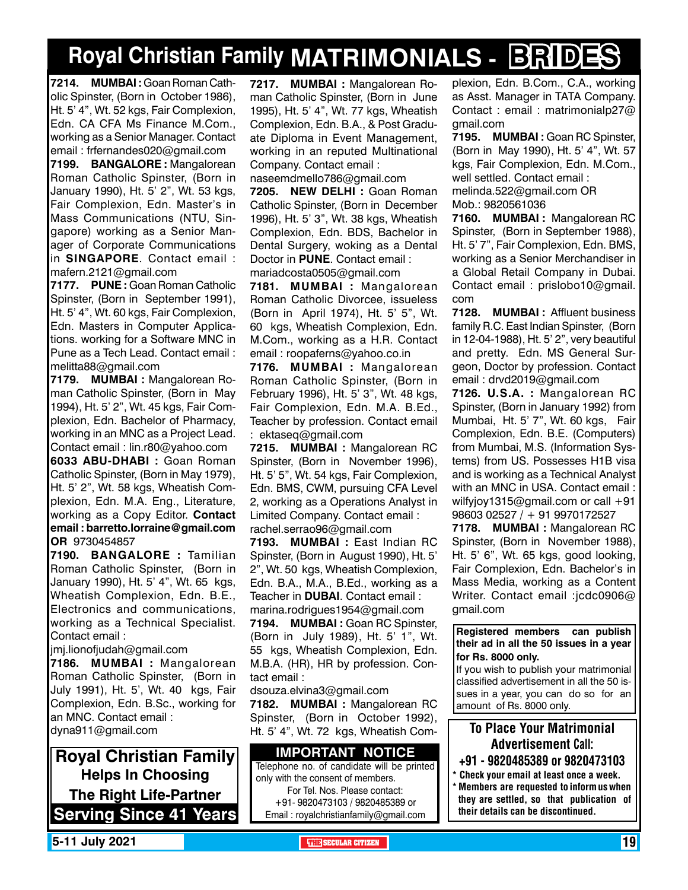# **Royal Christian Family MATRIMONIALS - BRIDES**

**7214. MUMBAI :** Goan Roman Catholic Spinster, (Born in October 1986), Ht. 5' 4", Wt. 52 kgs, Fair Complexion, Edn. CA CFA Ms Finance M.Com., working as a Senior Manager. Contact email : frfernandes020@gmail.com

**7199. BANGALORE :** Mangalorean Roman Catholic Spinster, (Born in January 1990), Ht. 5' 2", Wt. 53 kgs, Fair Complexion, Edn. Master's in Mass Communications (NTU, Singapore) working as a Senior Manager of Corporate Communications in **SINGAPORE**. Contact email : mafern.2121@gmail.com

**7177. PUNE :** Goan Roman Catholic Spinster, (Born in September 1991), Ht. 5' 4", Wt. 60 kgs, Fair Complexion, Edn. Masters in Computer Applications. working for a Software MNC in Pune as a Tech Lead. Contact email : melitta88@gmail.com

**7179. MUMBAI :** Mangalorean Roman Catholic Spinster, (Born in May 1994), Ht. 5' 2", Wt. 45 kgs, Fair Complexion, Edn. Bachelor of Pharmacy, working in an MNC as a Project Lead. Contact email : lin.r80@yahoo.com

**6033 ABU-DHABI :** Goan Roman Catholic Spinster, (Born in May 1979), Ht. 5' 2", Wt. 58 kgs, Wheatish Complexion, Edn. M.A. Eng., Literature, working as a Copy Editor. Contact email : barretto.lorraine@gmail.com OR 9730454857

**7190. BANGALORE :** Tamilian Roman Catholic Spinster, (Born in January 1990), Ht. 5' 4", Wt. 65 kgs, Wheatish Complexion, Edn. B.E., Electronics and communications, working as a Technical Specialist. Contact email :

jmj.lionofjudah@gmail.com

**7186. MUMBAI :** Mangalorean Roman Catholic Spinster, (Born in July 1991), Ht. 5', Wt. 40 kgs, Fair Complexion, Edn. B.Sc., working for an MNC. Contact email : dyna911@gmail.com

**Royal Christian Family Helps In Choosing The Right Life-Partner Serving Since 41 Years** **7217. MUMBAI :** Mangalorean Roman Catholic Spinster, (Born in June 1995), Ht. 5' 4", Wt. 77 kgs, Wheatish Complexion, Edn. B.A., & Post Graduate Diploma in Event Management, working in an reputed Multinational Company. Contact email :

naseemdmello786@gmail.com

**7205. NEW DELHI :** Goan Roman Catholic Spinster, (Born in December 1996), Ht. 5' 3", Wt. 38 kgs, Wheatish Complexion, Edn. BDS, Bachelor in Dental Surgery, woking as a Dental Doctor in **PUNE**. Contact email : mariadcosta0505@gmail.com

**7181. MUMBAI :** Mangalorean Roman Catholic Divorcee, issueless (Born in April 1974), Ht. 5' 5", Wt. 60 kgs, Wheatish Complexion, Edn. M.Com., working as a H.R. Contact email : roopaferns@yahoo.co.in

**7176. MUMBAI :** Mangalorean Roman Catholic Spinster, (Born in February 1996), Ht. 5' 3", Wt. 48 kgs, Fair Complexion, Edn. M.A. B.Ed., Teacher by profession. Contact email : ektaseq@gmail.com

**7215. MUMBAI :** Mangalorean RC Spinster, (Born in November 1996), Ht. 5' 5", Wt. 54 kgs, Fair Complexion, Edn. BMS, CWM, pursuing CFA Level 2, working as a Operations Analyst in Limited Company. Contact email : rachel.serrao96@gmail.com

**7193. MUMBAI :** East Indian RC Spinster, (Born in August 1990), Ht. 5' 2", Wt. 50 kgs, Wheatish Complexion, Edn. B.A., M.A., B.Ed., working as a Teacher in **DUBAI**. Contact email : marina.rodrigues1954@gmail.com

**7194. MUMBAI :** Goan RC Spinster, (Born in July 1989), Ht. 5' 1", Wt. 55 kgs, Wheatish Complexion, Edn. M.B.A. (HR), HR by profession. Contact email :

dsouza.elvina3@gmail.com

**7182. MUMBAI :** Mangalorean RC Spinster, (Born in October 1992), Ht. 5' 4", Wt. 72 kgs, Wheatish Com-

#### **Important Notice**

Telephone no. of candidate will be printed only with the consent of members. For Tel. Nos. Please contact: +91- 9820473103 / 9820485389 or Email : royalchristianfamily@gmail.com

plexion, Edn. B.Com., C.A., working as Asst. Manager in TATA Company. Contact : email : matrimonialp27@ gmail.com

**7195. MUMBAI :** Goan RC Spinster, (Born in May 1990), Ht. 5' 4", Wt. 57 kgs, Fair Complexion, Edn. M.Com., well settled. Contact email : melinda.522@gmail.com OR Mob.: 9820561036

**7160. MUMBAI :** Mangalorean RC Spinster, (Born in September 1988), Ht. 5' 7", Fair Complexion, Edn. BMS, working as a Senior Merchandiser in a Global Retail Company in Dubai. Contact email : prislobo10@gmail. com

**7128. MUMBAI :** Affluent business family R.C. East Indian Spinster, (Born in 12-04-1988), Ht. 5' 2", very beautiful and pretty. Edn. MS General Surgeon, Doctor by profession. Contact email : drvd2019@gmail.com

**7126. U.S.A. :** Mangalorean RC Spinster, (Born in January 1992) from Mumbai, Ht. 5' 7", Wt. 60 kgs, Fair Complexion, Edn. B.E. (Computers) from Mumbai, M.S. (Information Systems) from US. Possesses H1B visa and is working as a Technical Analyst with an MNC in USA. Contact email : wilfyjoy1315@gmail.com or call +91 98603 02527 / + 91 9970172527

**7178. MUMBAI :** Mangalorean RC Spinster, (Born in November 1988), Ht. 5' 6", Wt. 65 kgs, good looking, Fair Complexion, Edn. Bachelor's in Mass Media, working as a Content Writer. Contact email :jcdc0906@ gmail.com

**Registered members can publish their ad in all the 50 issues in a year for Rs. 8000 only.**

If you wish to publish your matrimonial classified advertisement in all the 50 issues in a year, you can do so for an amount of Rs. 8000 only.

## To Place Your Matrimonial Advertisement Call:

- +91 9820485389 or 9820473103
- Check your email at least once a week. \* Members are requested to inform us when they are settled, so that publication of their details can be discontinued.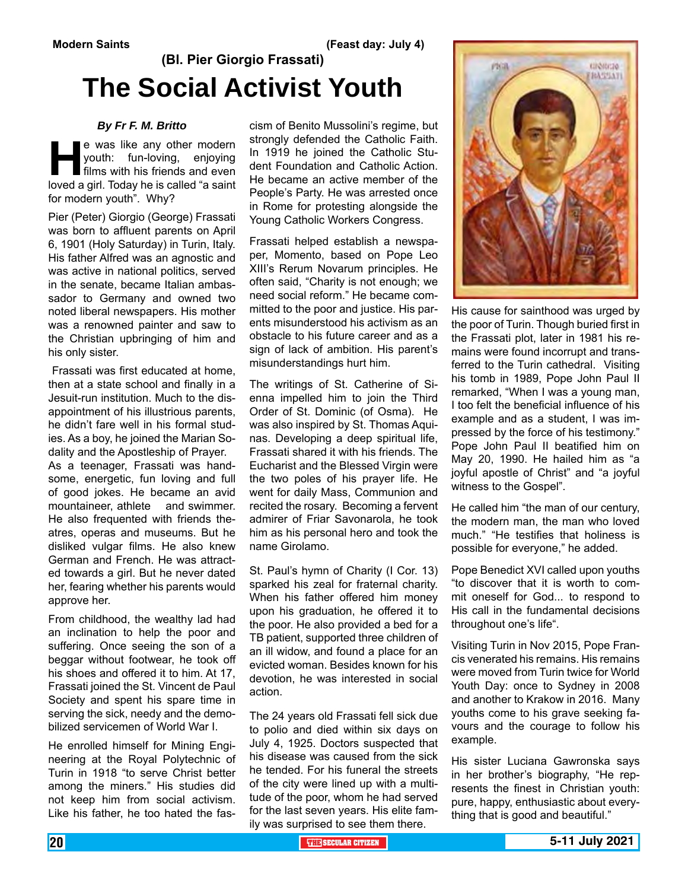# **(Bl. Pier Giorgio Frassati) The Social Activist Youth**

#### *By Fr F. M. Britto*

**He** was like any other modern<br>
youth: fun-loving, enjoying<br>
films with his friends and even<br>
loved a girl. Today he is called "a saint youth: fun-loving, enjoying films with his friends and even for modern youth". Why?

Pier (Peter) Giorgio (George) Frassati was born to affluent parents on April 6, 1901 (Holy Saturday) in Turin, Italy. His father Alfred was an agnostic and was active in national politics, served in the senate, became Italian ambassador to Germany and owned two noted liberal newspapers. His mother was a renowned painter and saw to the Christian upbringing of him and his only sister.

 Frassati was first educated at home, then at a state school and finally in a Jesuit-run institution. Much to the disappointment of his illustrious parents, he didn't fare well in his formal studies. As a boy, he joined the Marian Sodality and the Apostleship of Prayer. As a teenager, Frassati was handsome, energetic, fun loving and full of good jokes. He became an avid mountaineer, athlete and swimmer. He also frequented with friends theatres, operas and museums. But he disliked vulgar films. He also knew German and French. He was attracted towards a girl. But he never dated her, fearing whether his parents would approve her.

From childhood, the wealthy lad had an inclination to help the poor and suffering. Once seeing the son of a beggar without footwear, he took off his shoes and offered it to him. At 17, Frassati joined the St. Vincent de Paul Society and spent his spare time in serving the sick, needy and the demobilized servicemen of World War I.

He enrolled himself for Mining Engineering at the Royal Polytechnic of Turin in 1918 "to serve Christ better among the miners." His studies did not keep him from social activism. Like his father, he too hated the fascism of Benito Mussolini's regime, but strongly defended the Catholic Faith. In 1919 he joined the Catholic Student Foundation and Catholic Action. He became an active member of the People's Party. He was arrested once in Rome for protesting alongside the Young Catholic Workers Congress.

Frassati helped establish a newspaper, Momento, based on Pope Leo XIII's Rerum Novarum principles. He often said, "Charity is not enough; we need social reform." He became committed to the poor and justice. His parents misunderstood his activism as an obstacle to his future career and as a sign of lack of ambition. His parent's misunderstandings hurt him.

The writings of St. Catherine of Sienna impelled him to join the Third Order of St. Dominic (of Osma). He was also inspired by St. Thomas Aquinas. Developing a deep spiritual life, Frassati shared it with his friends. The Eucharist and the Blessed Virgin were the two poles of his prayer life. He went for daily Mass, Communion and recited the rosary. Becoming a fervent admirer of Friar Savonarola, he took him as his personal hero and took the name Girolamo.

St. Paul's hymn of Charity (I Cor. 13) sparked his zeal for fraternal charity. When his father offered him money upon his graduation, he offered it to the poor. He also provided a bed for a TB patient, supported three children of an ill widow, and found a place for an evicted woman. Besides known for his devotion, he was interested in social action.

The 24 years old Frassati fell sick due to polio and died within six days on July 4, 1925. Doctors suspected that his disease was caused from the sick he tended. For his funeral the streets of the city were lined up with a multitude of the poor, whom he had served for the last seven years. His elite family was surprised to see them there.



His cause for sainthood was urged by the poor of Turin. Though buried first in the Frassati plot, later in 1981 his remains were found incorrupt and transferred to the Turin cathedral. Visiting his tomb in 1989, Pope John Paul II remarked, "When I was a young man, I too felt the beneficial influence of his example and as a student, I was impressed by the force of his testimony." Pope John Paul II beatified him on May 20, 1990. He hailed him as "a joyful apostle of Christ" and "a joyful witness to the Gospel".

He called him "the man of our century, the modern man, the man who loved much." "He testifies that holiness is possible for everyone," he added.

Pope Benedict XVI called upon youths "to discover that it is worth to commit oneself for God... to respond to His call in the fundamental decisions throughout one's life".

Visiting Turin in Nov 2015, Pope Francis venerated his remains. His remains were moved from Turin twice for World Youth Day: once to Sydney in 2008 and another to Krakow in 2016. Many youths come to his grave seeking favours and the courage to follow his example.

His sister Luciana Gawronska says in her brother's biography, "He represents the finest in Christian youth: pure, happy, enthusiastic about everything that is good and beautiful."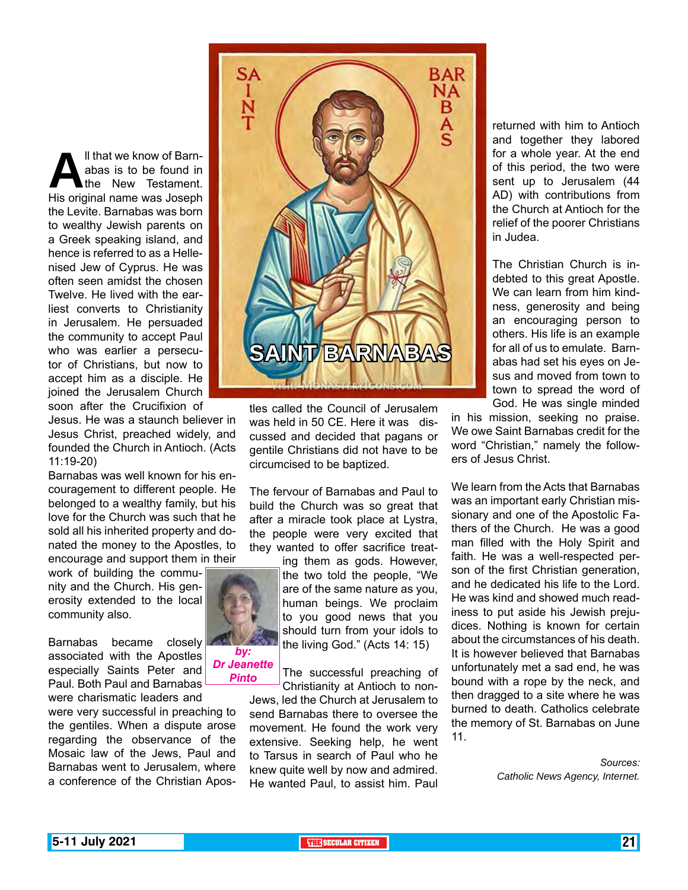**All that we know of Barn-**<br> **All the New Testament.**<br>
His original name was Joseph abas is to be found in the New Testament. the Levite. Barnabas was born to wealthy Jewish parents on a Greek speaking island, and hence is referred to as a Hellenised Jew of Cyprus. He was often seen amidst the chosen Twelve. He lived with the earliest converts to Christianity in Jerusalem. He persuaded the community to accept Paul who was earlier a persecutor of Christians, but now to accept him as a disciple. He joined the Jerusalem Church soon after the Crucifixion of

Jesus. He was a staunch believer in Jesus Christ, preached widely, and founded the Church in Antioch. (Acts 11:19-20)

Barnabas was well known for his encouragement to different people. He belonged to a wealthy family, but his love for the Church was such that he sold all his inherited property and donated the money to the Apostles, to encourage and support them in their

work of building the community and the Church. His generosity extended to the local community also.

Barnabas became closely associated with the Apostles especially Saints Peter and Paul. Both Paul and Barnabas were charismatic leaders and

were very successful in preaching to the gentiles. When a dispute arose regarding the observance of the Mosaic law of the Jews, Paul and Barnabas went to Jerusalem, where a conference of the Christian Apos-



tles called the Council of Jerusalem was held in 50 CE. Here it was discussed and decided that pagans or gentile Christians did not have to be circumcised to be baptized.

The fervour of Barnabas and Paul to build the Church was so great that after a miracle took place at Lystra, the people were very excited that they wanted to offer sacrifice treat-

> ing them as gods. However, the two told the people, "We are of the same nature as you, human beings. We proclaim to you good news that you should turn from your idols to the living God." (Acts 14: 15)

The successful preaching of Christianity at Antioch to non-

Jews, led the Church at Jerusalem to send Barnabas there to oversee the movement. He found the work very extensive. Seeking help, he went to Tarsus in search of Paul who he knew quite well by now and admired. He wanted Paul, to assist him. Paul returned with him to Antioch and together they labored for a whole year. At the end of this period, the two were sent up to Jerusalem (44 AD) with contributions from the Church at Antioch for the relief of the poorer Christians in Judea.

The Christian Church is indebted to this great Apostle. We can learn from him kindness, generosity and being an encouraging person to others. His life is an example for all of us to emulate. Barnabas had set his eyes on Jesus and moved from town to town to spread the word of God. He was single minded

in his mission, seeking no praise. We owe Saint Barnabas credit for the word "Christian," namely the followers of Jesus Christ.

We learn from the Acts that Barnabas was an important early Christian missionary and one of the Apostolic Fathers of the Church. He was a good man filled with the Holy Spirit and faith. He was a well-respected person of the first Christian generation, and he dedicated his life to the Lord. He was kind and showed much readiness to put aside his Jewish prejudices. Nothing is known for certain about the circumstances of his death. It is however believed that Barnabas unfortunately met a sad end, he was bound with a rope by the neck, and then dragged to a site where he was burned to death. Catholics celebrate the memory of St. Barnabas on June 11.

> *Sources: Catholic News Agency, Internet.*



*by:* 

*Dr Jeanette Pinto*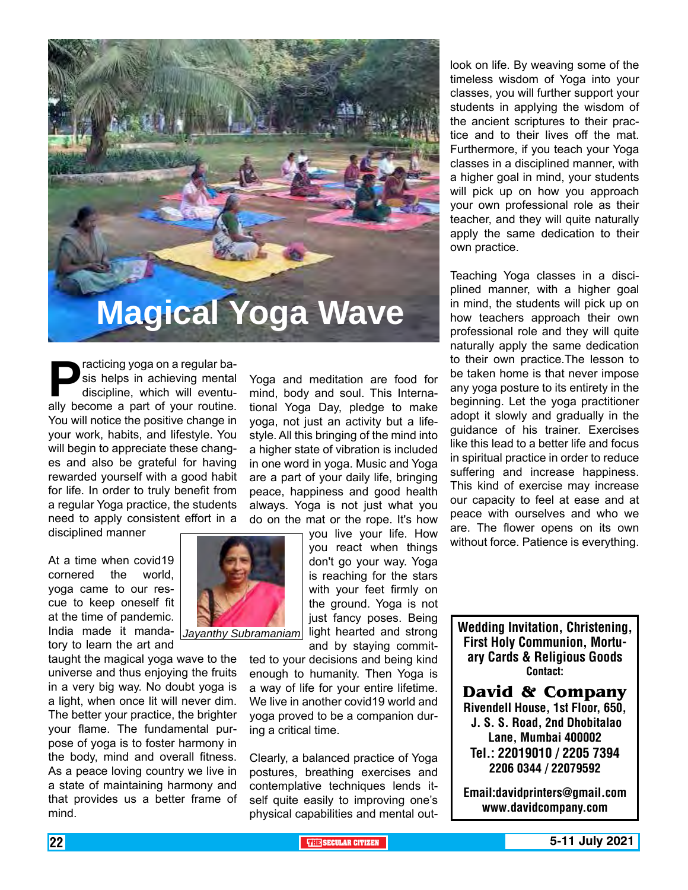

**Practicing yoga on a regular basis helps in achieving mental discipline, which will eventually become a part of your routine.** sis helps in achieving mental discipline, which will eventu-You will notice the positive change in your work, habits, and lifestyle. You will begin to appreciate these changes and also be grateful for having rewarded yourself with a good habit for life. In order to truly benefit from a regular Yoga practice, the students need to apply consistent effort in a

disciplined manner

At a time when covid19 cornered the world, yoga came to our rescue to keep oneself fit at the time of pandemic. India made it mandatory to learn the art and

taught the magical yoga wave to the universe and thus enjoying the fruits in a very big way. No doubt yoga is a light, when once lit will never dim. The better your practice, the brighter your flame. The fundamental purpose of yoga is to foster harmony in the body, mind and overall fitness. As a peace loving country we live in a state of maintaining harmony and that provides us a better frame of mind.

Yoga and meditation are food for mind, body and soul. This International Yoga Day, pledge to make yoga, not just an activity but a lifestyle. All this bringing of the mind into a higher state of vibration is included in one word in yoga. Music and Yoga are a part of your daily life, bringing peace, happiness and good health always. Yoga is not just what you do on the mat or the rope. It's how

you live your life. How you react when things don't go your way. Yoga is reaching for the stars with your feet firmly on the ground. Yoga is not just fancy poses. Being and by staying commit-

ted to your decisions and being kind enough to humanity. Then Yoga is a way of life for your entire lifetime. We live in another covid19 world and yoga proved to be a companion during a critical time.

Clearly, a balanced practice of Yoga postures, breathing exercises and contemplative techniques lends itself quite easily to improving one's physical capabilities and mental outlook on life. By weaving some of the timeless wisdom of Yoga into your classes, you will further support your students in applying the wisdom of the ancient scriptures to their practice and to their lives off the mat. Furthermore, if you teach your Yoga classes in a disciplined manner, with a higher goal in mind, your students will pick up on how you approach your own professional role as their teacher, and they will quite naturally apply the same dedication to their own practice.

Teaching Yoga classes in a disciplined manner, with a higher goal in mind, the students will pick up on how teachers approach their own professional role and they will quite naturally apply the same dedication to their own practice.The lesson to be taken home is that never impose any yoga posture to its entirety in the beginning. Let the yoga practitioner adopt it slowly and gradually in the guidance of his trainer. Exercises like this lead to a better life and focus in spiritual practice in order to reduce suffering and increase happiness. This kind of exercise may increase our capacity to feel at ease and at peace with ourselves and who we are. The flower opens on its own without force. Patience is everything.

Jayanthy Subramaniam<sup>1</sup> light hearted and strong **Wedding Invitation, Christening,** First Holy Communion, Mortuary Cards & Religious Goods Contact:

> **David & Company** Rivendell House, 1st Floor, 650, J. S. S. Road, 2nd Dhobitalao Lane, Mumbai 400002 Tel.: 22019010 / 2205 7394 2206 0344 / 22079592

> Email:davidprinters@gmail.com www.davidcompany.com

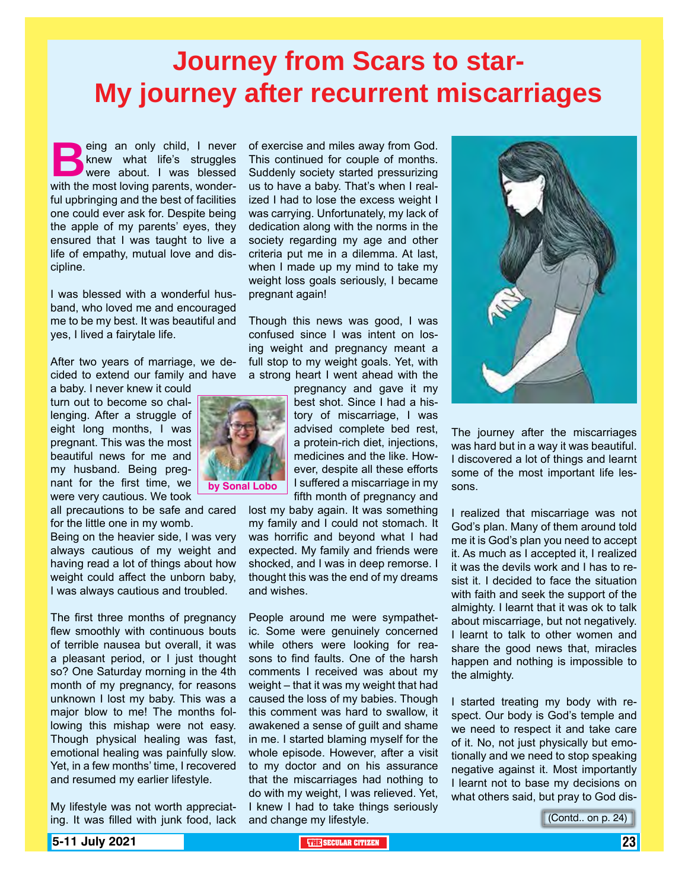# **Journey from Scars to star-My journey after recurrent miscarriages**

eing an only child, I never<br>
knew what life's struggles<br>
with the most loving parents wonderknew what life's struggles were about. I was blessed with the most loving parents, wonderful upbringing and the best of facilities one could ever ask for. Despite being the apple of my parents' eyes, they ensured that I was taught to live a life of empathy, mutual love and discipline.

I was blessed with a wonderful husband, who loved me and encouraged me to be my best. It was beautiful and yes, I lived a fairytale life.

After two years of marriage, we decided to extend our family and have

a baby. I never knew it could turn out to become so challenging. After a struggle of eight long months, I was pregnant. This was the most beautiful news for me and my husband. Being pregnant for the first time, we were very cautious. We took

all precautions to be safe and cared for the little one in my womb.

Being on the heavier side, I was very always cautious of my weight and having read a lot of things about how weight could affect the unborn baby, I was always cautious and troubled.

The first three months of pregnancy flew smoothly with continuous bouts of terrible nausea but overall, it was a pleasant period, or I just thought so? One Saturday morning in the 4th month of my pregnancy, for reasons unknown I lost my baby. This was a major blow to me! The months following this mishap were not easy. Though physical healing was fast, emotional healing was painfully slow. Yet, in a few months' time, I recovered and resumed my earlier lifestyle.

My lifestyle was not worth appreciating. It was filled with junk food, lack of exercise and miles away from God. This continued for couple of months. Suddenly society started pressurizing us to have a baby. That's when I realized I had to lose the excess weight I was carrying. Unfortunately, my lack of dedication along with the norms in the society regarding my age and other criteria put me in a dilemma. At last, when I made up my mind to take my weight loss goals seriously, I became pregnant again!

Though this news was good, I was confused since I was intent on losing weight and pregnancy meant a full stop to my weight goals. Yet, with a strong heart I went ahead with the



pregnancy and gave it my best shot. Since I had a history of miscarriage, I was advised complete bed rest, a protein-rich diet, injections, medicines and the like. However, despite all these efforts I suffered a miscarriage in my fifth month of pregnancy and

lost my baby again. It was something my family and I could not stomach. It was horrific and beyond what I had expected. My family and friends were shocked, and I was in deep remorse. I thought this was the end of my dreams and wishes.

People around me were sympathetic. Some were genuinely concerned while others were looking for reasons to find faults. One of the harsh comments I received was about my weight – that it was my weight that had caused the loss of my babies. Though this comment was hard to swallow, it awakened a sense of guilt and shame in me. I started blaming myself for the whole episode. However, after a visit to my doctor and on his assurance that the miscarriages had nothing to do with my weight, I was relieved. Yet, I knew I had to take things seriously and change my lifestyle.



The journey after the miscarriages was hard but in a way it was beautiful. I discovered a lot of things and learnt some of the most important life lessons.

I realized that miscarriage was not God's plan. Many of them around told me it is God's plan you need to accept it. As much as I accepted it, I realized it was the devils work and I has to resist it. I decided to face the situation with faith and seek the support of the almighty. I learnt that it was ok to talk about miscarriage, but not negatively. I learnt to talk to other women and share the good news that, miracles happen and nothing is impossible to the almighty.

I started treating my body with respect. Our body is God's temple and we need to respect it and take care of it. No, not just physically but emotionally and we need to stop speaking negative against it. Most importantly I learnt not to base my decisions on what others said, but pray to God dis-

(Contd.. on p. 24)